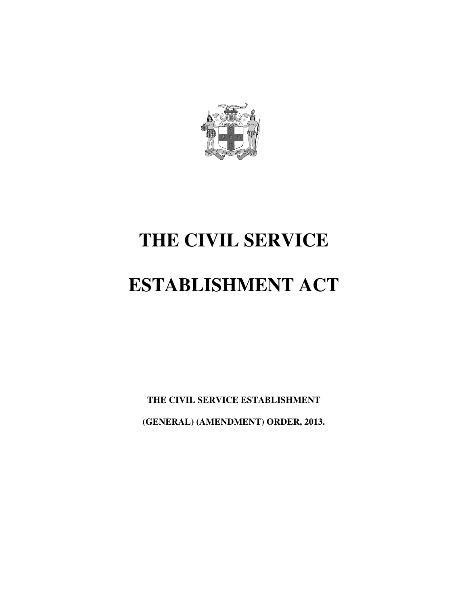

# **THE CIVIL SERVICE**

# **ESTABLISHMENT ACT**

**THE CIVIL SERVICE ESTABLISHMENT (GENERAL) (AMENDMENT) ORDER, 2013.**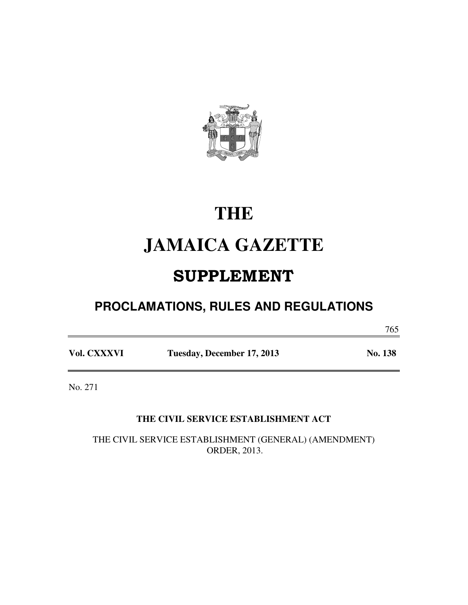

# **THE**

# **JAMAICA GAZETTE**

# SUPPLEMENT

# **PROCLAMATIONS, RULES AND REGULATIONS**

765

**Vol. CXXXVI Tuesday, December 17, 2013 No. 138** 

No. 271

### **THE CIVIL SERVICE ESTABLISHMENT ACT**

THE CIVIL SERVICE ESTABLISHMENT (GENERAL) (AMENDMENT) ORDER, 2013.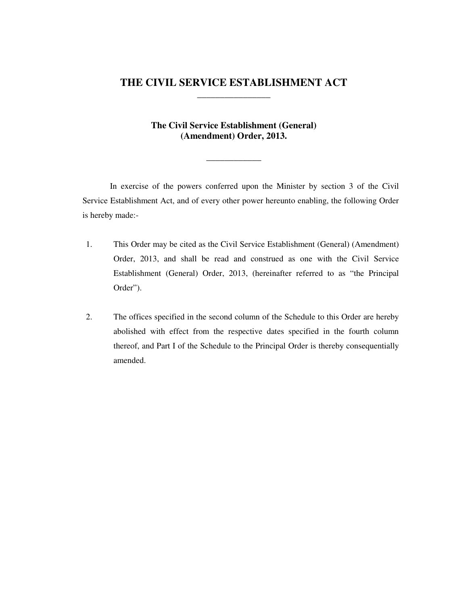### **THE CIVIL SERVICE ESTABLISHMENT ACT \_\_\_\_\_\_\_\_\_\_\_\_\_\_\_\_**

### **The Civil Service Establishment (General) (Amendment) Order, 2013.**

**\_\_\_\_\_\_\_\_\_\_\_\_** 

In exercise of the powers conferred upon the Minister by section 3 of the Civil Service Establishment Act, and of every other power hereunto enabling, the following Order is hereby made:-

- 1. This Order may be cited as the Civil Service Establishment (General) (Amendment) Order, 2013, and shall be read and construed as one with the Civil Service Establishment (General) Order, 2013, (hereinafter referred to as "the Principal Order").
- 2. The offices specified in the second column of the Schedule to this Order are hereby abolished with effect from the respective dates specified in the fourth column thereof, and Part I of the Schedule to the Principal Order is thereby consequentially amended.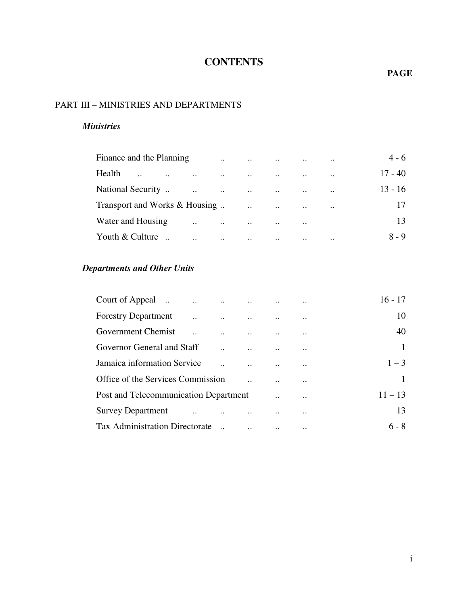# **CONTENTS**

### **PAGE**

### PART III – MINISTRIES AND DEPARTMENTS

### *Ministries*

| Finance and the Planning      |                      | $\dddot{\phantom{0}}$    | $\ddotsc$                              |               | $\cdots$  | $\ddotsc$            | $4 - 6$   |
|-------------------------------|----------------------|--------------------------|----------------------------------------|---------------|-----------|----------------------|-----------|
| Health<br>$\bullet$ $\bullet$ | $\ddotsc$            | $\ddots$                 | $\sim 100$ km s $^{-1}$                | $\cdot \cdot$ | $\ddotsc$ | $\ddot{\phantom{0}}$ | $17 - 40$ |
| National Security             | $\ddotsc$            | $\sim 100$ km s $^{-1}$  | <b>Contract Contract Contract</b>      | $\cdots$      | $\ddotsc$ | $\ddotsc$            | $13 - 16$ |
| Transport and Works & Housing |                      |                          | $\mathbf{r}$ . The set of $\mathbf{r}$ | $\ddots$      | $\ddotsc$ | $\ddotsc$            | 17        |
| Water and Housing             | $\ddot{\phantom{a}}$ | $\sim 1000$ km s $^{-1}$ | $\ddotsc$                              | $\ddotsc$     | $\ddotsc$ |                      | 13        |
| Youth & Culture               | $\cdot \cdot$        | $\ddotsc$                | $\ddotsc$                              | $\ddotsc$     | $\ddotsc$ | $\ddotsc$            | $8 - 9$   |

### *Departments and Other Units*

|                                             |                                                           |                                                                              |                           | $16 - 17$      |
|---------------------------------------------|-----------------------------------------------------------|------------------------------------------------------------------------------|---------------------------|----------------|
| <b>Forestry Department</b><br>$\sim$ $\sim$ |                                                           | $\mathbf{r}$ and $\mathbf{r}$ are associated to the contract of $\mathbf{r}$ | $\ddotsc$                 | 10             |
| Government Chemist                          |                                                           |                                                                              |                           | 40             |
| Governor General and Staff                  |                                                           |                                                                              |                           | $\overline{1}$ |
| Jamaica information Service                 |                                                           |                                                                              |                           | $1 - 3$        |
| Office of the Services Commission           |                                                           |                                                                              | $\ddotsc$                 | $\mathbf{1}$   |
| Post and Telecommunication Department       |                                                           |                                                                              |                           | $11 - 13$      |
| <b>Survey Department</b>                    | $\mathbf{r}$ and $\mathbf{r}$ are the set of $\mathbf{r}$ |                                                                              | $\ddot{\phantom{0}}\cdot$ | 13             |
| <b>Tax Administration Directorate</b>       |                                                           |                                                                              |                           | $6 - 8$        |
|                                             |                                                           |                                                                              |                           |                |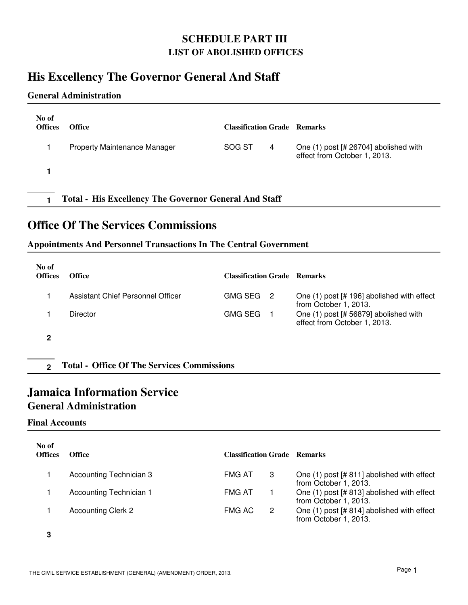### **SCHEDULE PART III LIST OF ABOLISHED OFFICES**

## **His Excellency The Governor General And Staff**

### **General Administration**

| No of<br><b>Offices</b>                                      | <b>Office</b>                | <b>Classification Grade Remarks</b> |   |                                                                       |  |
|--------------------------------------------------------------|------------------------------|-------------------------------------|---|-----------------------------------------------------------------------|--|
|                                                              | Property Maintenance Manager | SOG ST                              | 4 | One (1) post [# 26704] abolished with<br>effect from October 1, 2013. |  |
|                                                              |                              |                                     |   |                                                                       |  |
| <b>Total - His Excellency The Governor General And Staff</b> |                              |                                     |   |                                                                       |  |

## **Office Of The Services Commissions**

### **Appointments And Personnel Transactions In The Central Government**

| No of<br><b>Offices</b> | <b>Office</b>                                     | <b>Classification Grade Remarks</b> |                            |                                                                       |
|-------------------------|---------------------------------------------------|-------------------------------------|----------------------------|-----------------------------------------------------------------------|
|                         | Assistant Chief Personnel Officer                 | <b>GMG SEG</b>                      | $\overline{\phantom{0}}^2$ | One (1) post [# 196] abolished with effect<br>from October 1, 2013.   |
|                         | Director                                          | <b>GMG SEG</b>                      |                            | One (1) post [# 56879] abolished with<br>effect from October 1, 2013. |
| 2                       |                                                   |                                     |                            |                                                                       |
| $\mathbf{2}$            | <b>Total - Office Of The Services Commissions</b> |                                     |                            |                                                                       |

# **Jamaica Information Service**

### **General Administration**

### **Final Accounts**

| No of<br><b>Offices</b> | Office                    | <b>Classification Grade Remarks</b> |   |                                                                     |
|-------------------------|---------------------------|-------------------------------------|---|---------------------------------------------------------------------|
|                         | Accounting Technician 3   | <b>FMG AT</b>                       | 3 | One (1) post [# 811] abolished with effect<br>from October 1, 2013. |
|                         | Accounting Technician 1   | <b>FMG AT</b>                       |   | One (1) post [# 813] abolished with effect<br>from October 1, 2013. |
|                         | <b>Accounting Clerk 2</b> | <b>FMG AC</b>                       | 2 | One (1) post [# 814] abolished with effect<br>from October 1, 2013. |

**3**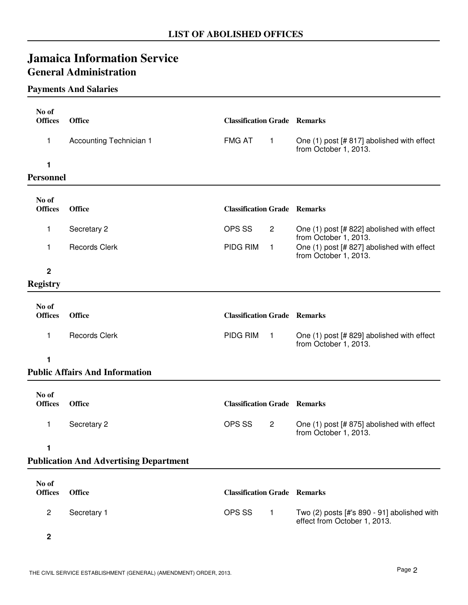# **Jamaica Information Service General Administration**

### **Payments And Salaries**

| No of                   |                                               |                                     |                |                                                                             |
|-------------------------|-----------------------------------------------|-------------------------------------|----------------|-----------------------------------------------------------------------------|
| <b>Offices</b>          | <b>Office</b>                                 | <b>Classification Grade Remarks</b> |                |                                                                             |
| 1                       | Accounting Technician 1                       | <b>FMG AT</b>                       | $\mathbf{1}$   | One (1) post [# 817] abolished with effect<br>from October 1, 2013.         |
| 1                       |                                               |                                     |                |                                                                             |
| Personnel               |                                               |                                     |                |                                                                             |
| No of                   |                                               |                                     |                |                                                                             |
| <b>Offices</b>          | <b>Office</b>                                 | <b>Classification Grade Remarks</b> |                |                                                                             |
| 1                       | Secretary 2                                   | OPS SS                              | $\overline{2}$ | One (1) post [# 822] abolished with effect<br>from October 1, 2013.         |
| 1                       | <b>Records Clerk</b>                          | PIDG RIM                            | $\mathbf{1}$   | One (1) post [# 827] abolished with effect<br>from October 1, 2013.         |
| $\mathbf{2}$            |                                               |                                     |                |                                                                             |
| <b>Registry</b>         |                                               |                                     |                |                                                                             |
|                         |                                               |                                     |                |                                                                             |
| No of<br><b>Offices</b> | <b>Office</b>                                 | <b>Classification Grade Remarks</b> |                |                                                                             |
| 1                       | <b>Records Clerk</b>                          | PIDG RIM                            | $\overline{1}$ | One (1) post [# 829] abolished with effect<br>from October 1, 2013.         |
| 1                       |                                               |                                     |                |                                                                             |
|                         | <b>Public Affairs And Information</b>         |                                     |                |                                                                             |
|                         |                                               |                                     |                |                                                                             |
| No of<br><b>Offices</b> | <b>Office</b>                                 | <b>Classification Grade Remarks</b> |                |                                                                             |
| 1                       | Secretary 2                                   | OPS SS                              | $\overline{2}$ | One (1) post [# 875] abolished with effect<br>from October 1, 2013.         |
| 1                       |                                               |                                     |                |                                                                             |
|                         | <b>Publication And Advertising Department</b> |                                     |                |                                                                             |
|                         |                                               |                                     |                |                                                                             |
| No of<br><b>Offices</b> | <b>Office</b>                                 | <b>Classification Grade Remarks</b> |                |                                                                             |
| $\overline{c}$          | Secretary 1                                   | OPS SS                              | $\mathbf{1}$   | Two (2) posts [#'s 890 - 91] abolished with<br>effect from October 1, 2013. |
| $\mathbf 2$             |                                               |                                     |                |                                                                             |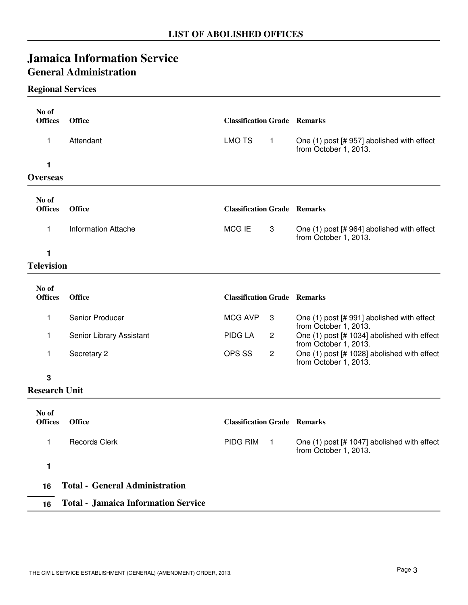# **Jamaica Information Service General Administration**

### **Regional Services**

| No of<br><b>Offices</b> | <b>Office</b>       | <b>Classification Grade Remarks</b> |   |                                                                     |
|-------------------------|---------------------|-------------------------------------|---|---------------------------------------------------------------------|
| 1                       | Attendant           | LMO TS                              | 1 | One (1) post [# 957] abolished with effect<br>from October 1, 2013. |
| <b>Overseas</b>         |                     |                                     |   |                                                                     |
| No of<br><b>Offices</b> | <b>Office</b>       | <b>Classification Grade Remarks</b> |   |                                                                     |
| 1                       | Information Attache | MCG IE                              | 3 | One (1) post [# 964] abolished with effect<br>from October 1, 2013. |
| $T_0$ lasiaian          |                     |                                     |   |                                                                     |

### **Television**

| No of<br><b>Offices</b> | <b>Office</b>            | <b>Classification Grade Remarks</b> |                                                                      |
|-------------------------|--------------------------|-------------------------------------|----------------------------------------------------------------------|
|                         | Senior Producer          | MCG AVP<br>- 3                      | One (1) post [# 991] abolished with effect<br>from October 1, 2013.  |
|                         | Senior Library Assistant | PIDG LA<br>2                        | One (1) post [# 1034] abolished with effect<br>from October 1, 2013. |
|                         | Secretary 2              | OPS SS<br>2                         | One (1) post [# 1028] abolished with effect<br>from October 1, 2013. |

**3**

### **Research Unit**

| No of<br><b>Offices</b> | <b>Office</b>                              | <b>Classification Grade Remarks</b> |                |                                                                      |
|-------------------------|--------------------------------------------|-------------------------------------|----------------|----------------------------------------------------------------------|
|                         | <b>Records Clerk</b>                       | PIDG RIM                            | $\overline{1}$ | One (1) post [# 1047] abolished with effect<br>from October 1, 2013. |
|                         |                                            |                                     |                |                                                                      |
| 16                      | <b>Total - General Administration</b>      |                                     |                |                                                                      |
| 16                      | <b>Total - Jamaica Information Service</b> |                                     |                |                                                                      |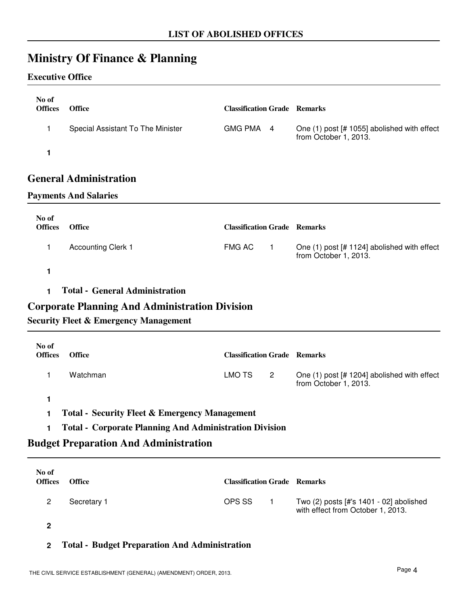# **Ministry Of Finance & Planning**

### **Executive Office**

| No of<br><b>Offices</b> | <b>Office</b>                     | <b>Classification Grade Remarks</b> |                                                                      |
|-------------------------|-----------------------------------|-------------------------------------|----------------------------------------------------------------------|
|                         | Special Assistant To The Minister | GMG PMA 4                           | One (1) post [# 1055] abolished with effect<br>from October 1, 2013. |
|                         |                                   |                                     |                                                                      |

### **General Administration**

### **Payments And Salaries**

| No of<br><b>Offices</b> | <b>Office</b>             | <b>Classification Grade Remarks</b> |                                                                      |  |
|-------------------------|---------------------------|-------------------------------------|----------------------------------------------------------------------|--|
|                         | <b>Accounting Clerk 1</b> | FMG AC                              | One (1) post [# 1124] abolished with effect<br>from October 1, 2013. |  |
|                         |                           |                                     |                                                                      |  |

**1 Total - General Administration**

### **Corporate Planning And Administration Division**

### **Security Fleet & Emergency Management**

| No of<br><b>Offices</b> | <b>Office</b> | <b>Classification Grade Remarks</b> |                          |                                                                      |
|-------------------------|---------------|-------------------------------------|--------------------------|----------------------------------------------------------------------|
|                         | Watchman      | LMO TS                              | $\overline{\phantom{a}}$ | One (1) post [# 1204] abolished with effect<br>from October 1, 2013. |
|                         |               |                                     |                          |                                                                      |

**1 Total - Security Fleet & Emergency Management**

### **1 Total - Corporate Planning And Administration Division**

### **Budget Preparation And Administration**

| No of<br><b>Offices</b> | <b>Office</b> | <b>Classification Grade Remarks</b> |                                                                              |
|-------------------------|---------------|-------------------------------------|------------------------------------------------------------------------------|
|                         | Secretary 1   | OPS SS                              | Two (2) posts [#'s 1401 - 02] abolished<br>with effect from October 1, 2013. |
|                         |               |                                     |                                                                              |

**2**

### **2 Total - Budget Preparation And Administration**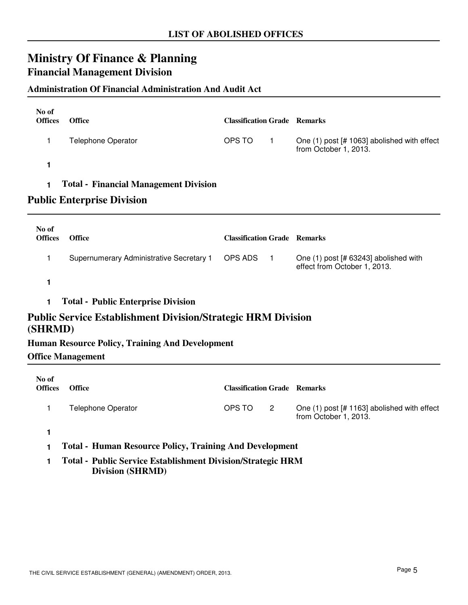# **Ministry Of Finance & Planning Financial Management Division**

### **Administration Of Financial Administration And Audit Act**

| No of<br><b>Offices</b> | <b>Office</b>                                                                      | <b>Classification Grade Remarks</b> |                                                                       |  |  |  |
|-------------------------|------------------------------------------------------------------------------------|-------------------------------------|-----------------------------------------------------------------------|--|--|--|
| 1                       | <b>Telephone Operator</b>                                                          | OPS TO<br>$\mathbf{1}$              | One (1) post [# 1063] abolished with effect<br>from October 1, 2013.  |  |  |  |
| 1                       |                                                                                    |                                     |                                                                       |  |  |  |
| 1                       | <b>Total - Financial Management Division</b>                                       |                                     |                                                                       |  |  |  |
|                         | <b>Public Enterprise Division</b>                                                  |                                     |                                                                       |  |  |  |
| No of<br><b>Offices</b> | Office                                                                             | <b>Classification Grade Remarks</b> |                                                                       |  |  |  |
| 1                       | Supernumerary Administrative Secretary 1                                           | OPS ADS<br>$\blacksquare$           | One (1) post [# 63243] abolished with<br>effect from October 1, 2013. |  |  |  |
| 1                       |                                                                                    |                                     |                                                                       |  |  |  |
| 1                       | <b>Total - Public Enterprise Division</b>                                          |                                     |                                                                       |  |  |  |
| (SHRMD)                 | <b>Public Service Establishment Division/Strategic HRM Division</b>                |                                     |                                                                       |  |  |  |
|                         | <b>Human Resource Policy, Training And Development</b><br><b>Office Management</b> |                                     |                                                                       |  |  |  |
| No of<br><b>Offices</b> | Office                                                                             | <b>Classification Grade Remarks</b> |                                                                       |  |  |  |
| 1                       | <b>Telephone Operator</b>                                                          | OPS TO<br>$\overline{2}$            | One (1) post [# 1163] abolished with effect<br>from October 1, 2013.  |  |  |  |
| 1<br>1                  | <b>Total - Human Resource Policy, Training And Development</b>                     |                                     |                                                                       |  |  |  |

**1 Total - Public Service Establishment Division/Strategic HRM Division (SHRMD)**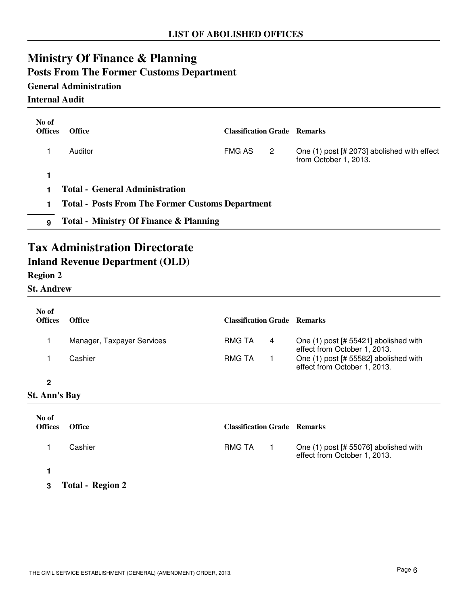# **Ministry Of Finance & Planning Posts From The Former Customs Department**

### **General Administration**

**Internal Audit**

| No of<br><b>Offices</b> | <b>Office</b>                                           | <b>Classification Grade Remarks</b> |                |                                                                      |
|-------------------------|---------------------------------------------------------|-------------------------------------|----------------|----------------------------------------------------------------------|
|                         | Auditor                                                 | FMG AS                              | $\overline{2}$ | One (1) post [# 2073] abolished with effect<br>from October 1, 2013. |
|                         |                                                         |                                     |                |                                                                      |
|                         | <b>Total - General Administration</b>                   |                                     |                |                                                                      |
| 1                       | <b>Total - Posts From The Former Customs Department</b> |                                     |                |                                                                      |
| 9                       | <b>Total - Ministry Of Finance &amp; Planning</b>       |                                     |                |                                                                      |

## **Tax Administration Directorate Inland Revenue Department (OLD)**

### **Region 2**

**St. Andrew**

| No of<br><b>Offices</b> | <b>Office</b>              | <b>Classification Grade Remarks</b> |   |                                                                         |
|-------------------------|----------------------------|-------------------------------------|---|-------------------------------------------------------------------------|
|                         | Manager, Taxpayer Services | RMG TA                              | 4 | One $(1)$ post [# 55421] abolished with<br>effect from October 1, 2013. |
|                         | Cashier                    | RMG TA                              |   | One (1) post [# 55582] abolished with<br>effect from October 1, 2013.   |
| 2                       |                            |                                     |   |                                                                         |
| <b>St. Ann's Bay</b>    |                            |                                     |   |                                                                         |

| No of<br><b>Offices</b> | <b>Office</b>           | <b>Classification Grade Remarks</b> |                                                                       |
|-------------------------|-------------------------|-------------------------------------|-----------------------------------------------------------------------|
|                         | Cashier                 | RMG TA                              | One (1) post [# 55076] abolished with<br>effect from October 1, 2013. |
| 3                       | <b>Total - Region 2</b> |                                     |                                                                       |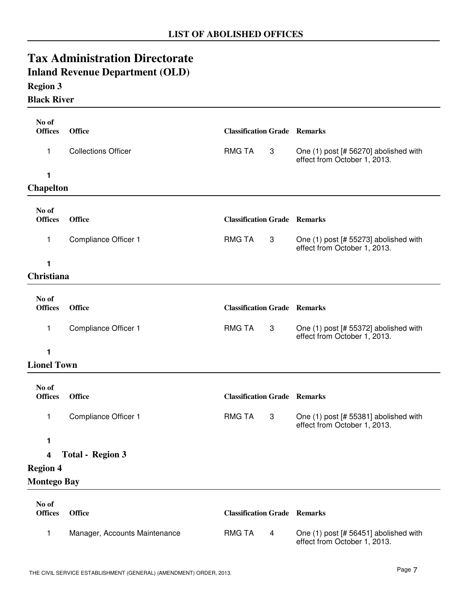# **Tax Administration Directorate Inland Revenue Department (OLD)**

### **Region 3**

### **Black River**

| No of                   |                               |                                     |                |                                                                       |
|-------------------------|-------------------------------|-------------------------------------|----------------|-----------------------------------------------------------------------|
| <b>Offices</b>          | <b>Office</b>                 | <b>Classification Grade Remarks</b> |                |                                                                       |
| 1                       | <b>Collections Officer</b>    | <b>RMG TA</b>                       | 3              | One (1) post [# 56270] abolished with<br>effect from October 1, 2013. |
| 1                       |                               |                                     |                |                                                                       |
| <b>Chapelton</b>        |                               |                                     |                |                                                                       |
| No of<br><b>Offices</b> | <b>Office</b>                 | <b>Classification Grade Remarks</b> |                |                                                                       |
| 1                       | Compliance Officer 1          | <b>RMG TA</b>                       | 3              | One (1) post [# 55273] abolished with<br>effect from October 1, 2013. |
| 1                       |                               |                                     |                |                                                                       |
| Christiana              |                               |                                     |                |                                                                       |
| No of<br><b>Offices</b> | <b>Office</b>                 | <b>Classification Grade Remarks</b> |                |                                                                       |
| 1                       | Compliance Officer 1          | <b>RMG TA</b>                       | 3              | One (1) post [# 55372] abolished with<br>effect from October 1, 2013. |
| 1                       |                               |                                     |                |                                                                       |
| <b>Lionel Town</b>      |                               |                                     |                |                                                                       |
| No of<br><b>Offices</b> | <b>Office</b>                 | <b>Classification Grade Remarks</b> |                |                                                                       |
| 1                       | Compliance Officer 1          | <b>RMG TA</b>                       | 3              | One (1) post [# 55381] abolished with<br>effect from October 1, 2013. |
| 1                       |                               |                                     |                |                                                                       |
| 4                       | <b>Total - Region 3</b>       |                                     |                |                                                                       |
| <b>Region 4</b>         |                               |                                     |                |                                                                       |
| <b>Montego Bay</b>      |                               |                                     |                |                                                                       |
| No of<br><b>Offices</b> | <b>Office</b>                 | <b>Classification Grade Remarks</b> |                |                                                                       |
| 1                       | Manager, Accounts Maintenance | <b>RMG TA</b>                       | $\overline{4}$ | One (1) post [# 56451] abolished with                                 |

effect from October 1, 2013.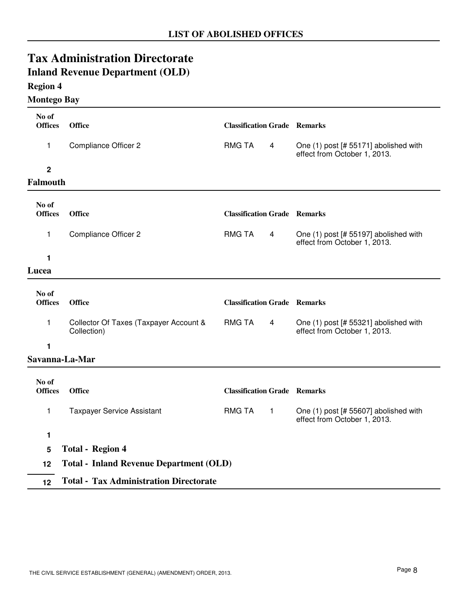| <b>Region 4</b>                |                                                       |                                     |              |                                                                       |
|--------------------------------|-------------------------------------------------------|-------------------------------------|--------------|-----------------------------------------------------------------------|
| <b>Montego Bay</b>             |                                                       |                                     |              |                                                                       |
| No of<br><b>Offices</b>        | <b>Office</b>                                         | <b>Classification Grade Remarks</b> |              |                                                                       |
| 1                              | <b>Compliance Officer 2</b>                           | <b>RMG TA</b>                       | 4            | One (1) post [# 55171] abolished with<br>effect from October 1, 2013. |
| $\mathbf 2$<br><b>Falmouth</b> |                                                       |                                     |              |                                                                       |
| No of<br><b>Offices</b>        | <b>Office</b>                                         | <b>Classification Grade Remarks</b> |              |                                                                       |
| 1                              | <b>Compliance Officer 2</b>                           | <b>RMG TA</b>                       | 4            | One (1) post [# 55197] abolished with<br>effect from October 1, 2013. |
| 1                              |                                                       |                                     |              |                                                                       |
| Lucea                          |                                                       |                                     |              |                                                                       |
| No of<br><b>Offices</b>        | <b>Office</b>                                         | <b>Classification Grade Remarks</b> |              |                                                                       |
| 1                              | Collector Of Taxes (Taxpayer Account &<br>Collection) | <b>RMG TA</b>                       | 4            | One (1) post [# 55321] abolished with<br>effect from October 1, 2013. |
| 1                              |                                                       |                                     |              |                                                                       |
|                                | Savanna-La-Mar                                        |                                     |              |                                                                       |
| No of<br><b>Offices</b>        | <b>Office</b>                                         | <b>Classification Grade Remarks</b> |              |                                                                       |
| 1                              | <b>Taxpayer Service Assistant</b>                     | <b>RMG TA</b>                       | $\mathbf{1}$ | One (1) post [# 55607] abolished with<br>effect from October 1, 2013. |
| 1                              |                                                       |                                     |              |                                                                       |
| 5                              | <b>Total - Region 4</b>                               |                                     |              |                                                                       |
| 12                             | <b>Total - Inland Revenue Department (OLD)</b>        |                                     |              |                                                                       |
| 12                             | <b>Total - Tax Administration Directorate</b>         |                                     |              |                                                                       |

**Tax Administration Directorate Inland Revenue Department (OLD)**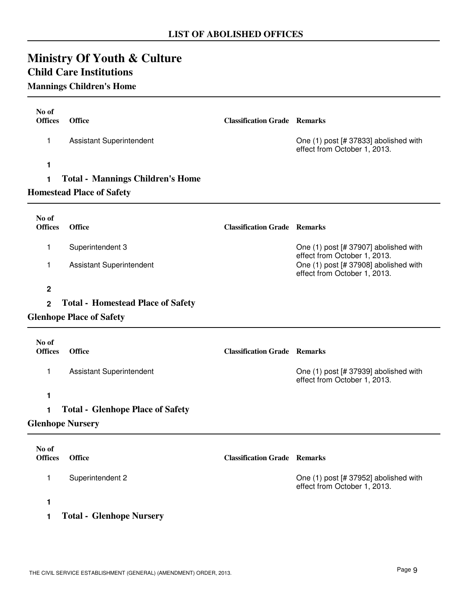| <b>Ministry Of Youth &amp; Culture</b> |  |  |
|----------------------------------------|--|--|
| $\alpha$ in $\alpha$ is $\alpha$       |  |  |

### **Child Care Institutions Mannings Children's Home**

| No of<br><b>Offices</b><br>1 | <b>Office</b><br><b>Assistant Superintendent</b> | <b>Classification Grade Remarks</b> | One (1) post [# 37833] abolished with<br>effect from October 1, 2013.                                 |
|------------------------------|--------------------------------------------------|-------------------------------------|-------------------------------------------------------------------------------------------------------|
| 1                            |                                                  |                                     |                                                                                                       |
| $\mathbf{1}$                 | <b>Total - Mannings Children's Home</b>          |                                     |                                                                                                       |
|                              | <b>Homestead Place of Safety</b>                 |                                     |                                                                                                       |
| No of<br><b>Offices</b>      | <b>Office</b>                                    | <b>Classification Grade Remarks</b> |                                                                                                       |
| 1                            | Superintendent 3                                 |                                     | One (1) post [# 37907] abolished with                                                                 |
| 1                            | <b>Assistant Superintendent</b>                  |                                     | effect from October 1, 2013.<br>One (1) post [# 37908] abolished with<br>effect from October 1, 2013. |
| $\mathbf 2$                  |                                                  |                                     |                                                                                                       |
| $\overline{2}$               | <b>Total - Homestead Place of Safety</b>         |                                     |                                                                                                       |
|                              | <b>Glenhope Place of Safety</b>                  |                                     |                                                                                                       |
| No of<br><b>Offices</b>      | <b>Office</b>                                    | <b>Classification Grade Remarks</b> |                                                                                                       |
| 1                            | <b>Assistant Superintendent</b>                  |                                     | One (1) post [# 37939] abolished with<br>effect from October 1, 2013.                                 |
| $\mathbf{1}$                 |                                                  |                                     |                                                                                                       |
| 1                            | <b>Total - Glenhope Place of Safety</b>          |                                     |                                                                                                       |
| <b>Glenhope Nursery</b>      |                                                  |                                     |                                                                                                       |
| No of<br><b>Offices</b>      | <b>Office</b>                                    | <b>Classification Grade Remarks</b> |                                                                                                       |
| 1                            | Superintendent 2                                 |                                     | One (1) post [# 37952] abolished with<br>effect from October 1, 2013.                                 |

**1**

**1 Total - Glenhope Nursery**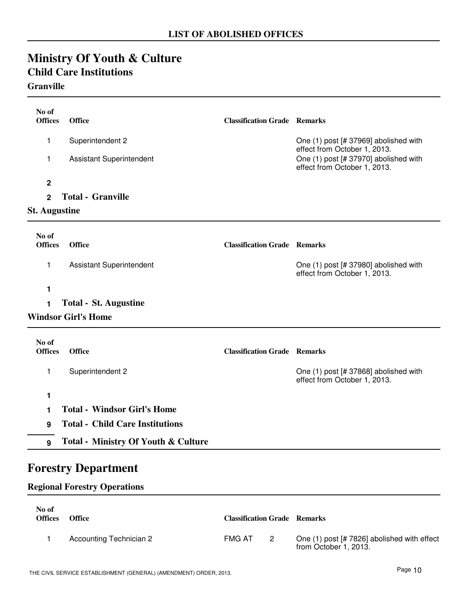## **Ministry Of Youth & Culture Child Care Institutions Granville**

| No of<br><b>Offices</b> | <b>Office</b>                                  | <b>Classification Grade Remarks</b> |                                                                       |
|-------------------------|------------------------------------------------|-------------------------------------|-----------------------------------------------------------------------|
| 1                       | Superintendent 2                               |                                     | One (1) post [# 37969] abolished with<br>effect from October 1, 2013. |
| 1                       | <b>Assistant Superintendent</b>                |                                     | One (1) post [# 37970] abolished with<br>effect from October 1, 2013. |
| $\mathbf 2$             |                                                |                                     |                                                                       |
| $\overline{2}$          | <b>Total - Granville</b>                       |                                     |                                                                       |
| <b>St. Augustine</b>    |                                                |                                     |                                                                       |
|                         |                                                |                                     |                                                                       |
| No of<br><b>Offices</b> | <b>Office</b>                                  | <b>Classification Grade Remarks</b> |                                                                       |
| 1                       | <b>Assistant Superintendent</b>                |                                     | One (1) post [# 37980] abolished with<br>effect from October 1, 2013. |
| 1                       |                                                |                                     |                                                                       |
| 1                       | <b>Total - St. Augustine</b>                   |                                     |                                                                       |
|                         | <b>Windsor Girl's Home</b>                     |                                     |                                                                       |
| No of<br><b>Offices</b> | <b>Office</b>                                  | <b>Classification Grade Remarks</b> |                                                                       |
| 1                       | Superintendent 2                               |                                     | One (1) post [# 37868] abolished with<br>effect from October 1, 2013. |
| 1                       |                                                |                                     |                                                                       |
| 1                       | <b>Total - Windsor Girl's Home</b>             |                                     |                                                                       |
| 9                       | <b>Total - Child Care Institutions</b>         |                                     |                                                                       |
| 9                       | <b>Total - Ministry Of Youth &amp; Culture</b> |                                     |                                                                       |

# **Forestry Department**

### **Regional Forestry Operations**

| No of<br><b>Offices</b> | <b>Office</b>                  | <b>Classification Grade Remarks</b> |                |                                                                      |
|-------------------------|--------------------------------|-------------------------------------|----------------|----------------------------------------------------------------------|
|                         | <b>Accounting Technician 2</b> | FMG AT                              | $\overline{2}$ | One (1) post [# 7826] abolished with effect<br>from October 1, 2013. |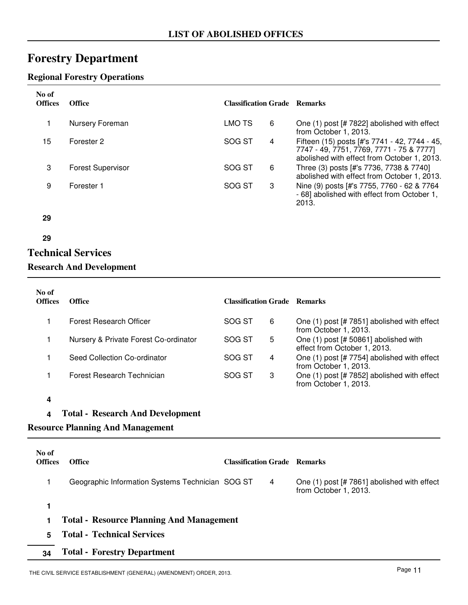# **Forestry Department**

### **Regional Forestry Operations**

| No of<br><b>Offices</b> | <b>Office</b>            | <b>Classification Grade Remarks</b> |   |                                                                                                                                          |
|-------------------------|--------------------------|-------------------------------------|---|------------------------------------------------------------------------------------------------------------------------------------------|
|                         | Nursery Foreman          | LMO TS                              | 6 | One (1) post [# 7822] abolished with effect<br>from October 1, 2013.                                                                     |
| 15                      | Forester 2               | SOG ST                              | 4 | Fifteen (15) posts [#'s 7741 - 42, 7744 - 45,<br>7747 - 49, 7751, 7769, 7771 - 75 & 7777]<br>abolished with effect from October 1, 2013. |
| 3                       | <b>Forest Supervisor</b> | SOG ST                              | 6 | Three (3) posts [#'s 7736, 7738 & 7740]<br>abolished with effect from October 1, 2013.                                                   |
| 9                       | Forester 1               | SOG ST                              | 3 | Nine (9) posts [#'s 7755, 7760 - 62 & 7764<br>- 68] abolished with effect from October 1,<br>2013.                                       |
| 29                      |                          |                                     |   |                                                                                                                                          |
| 29                      |                          |                                     |   |                                                                                                                                          |

# **Technical Services**

### **Research And Development**

| No of<br><b>Offices</b> | <b>Office</b>                         | <b>Classification Grade Remarks</b> |   |                                                                       |
|-------------------------|---------------------------------------|-------------------------------------|---|-----------------------------------------------------------------------|
|                         | Forest Research Officer               | SOG ST                              | 6 | One (1) post [# 7851] abolished with effect<br>from October 1, 2013.  |
|                         | Nursery & Private Forest Co-ordinator | SOG ST                              | 5 | One (1) post [# 50861] abolished with<br>effect from October 1, 2013. |
|                         | Seed Collection Co-ordinator          | SOG ST                              | 4 | One (1) post [# 7754] abolished with effect<br>from October 1, 2013.  |
|                         | Forest Research Technician            | SOG ST                              | 3 | One (1) post [# 7852] abolished with effect<br>from October 1, 2013.  |

- **4**
- **4 Total Research And Development**

### **Resource Planning And Management**

| No of<br><b>Offices</b> | <b>Office</b>                                    | <b>Classification Grade Remarks</b> |   |                                                                      |
|-------------------------|--------------------------------------------------|-------------------------------------|---|----------------------------------------------------------------------|
|                         | Geographic Information Systems Technician SOG ST |                                     | 4 | One (1) post [# 7861] abolished with effect<br>from October 1, 2013. |
|                         |                                                  |                                     |   |                                                                      |
|                         | <b>Total - Resource Planning And Management</b>  |                                     |   |                                                                      |
| 5                       | <b>Total - Technical Services</b>                |                                     |   |                                                                      |
| 34                      | <b>Total - Forestry Department</b>               |                                     |   |                                                                      |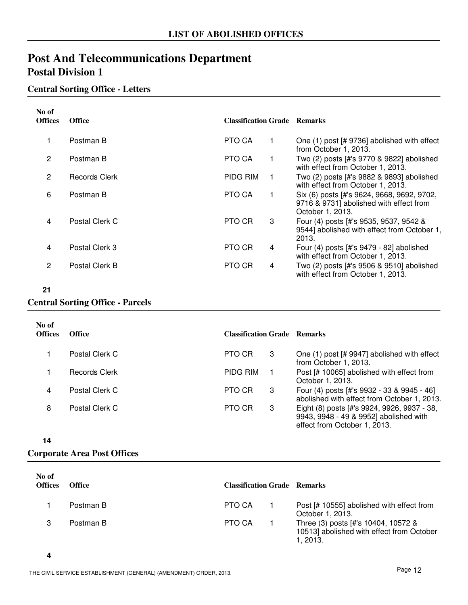# **Post And Telecommunications Department Postal Division 1**

### **Central Sorting Office - Letters**

| No of<br><b>Offices</b> | <b>Office</b>  | <b>Classification Grade Remarks</b> |   |                                                                                                           |
|-------------------------|----------------|-------------------------------------|---|-----------------------------------------------------------------------------------------------------------|
| 1                       | Postman B      | PTO CA                              |   | One (1) post [# 9736] abolished with effect<br>from October 1, 2013.                                      |
| $\overline{2}$          | Postman B      | PTO CA                              |   | Two (2) posts [#'s 9770 & 9822] abolished<br>with effect from October 1, 2013.                            |
| 2                       | Records Clerk  | PIDG RIM                            |   | Two (2) posts [#'s 9882 & 9893] abolished<br>with effect from October 1, 2013.                            |
| 6                       | Postman B      | PTO CA                              |   | Six (6) posts [#'s 9624, 9668, 9692, 9702,<br>9716 & 9731] abolished with effect from<br>October 1, 2013. |
| 4                       | Postal Clerk C | PTO CR                              | 3 | Four (4) posts [#'s 9535, 9537, 9542 &<br>9544] abolished with effect from October 1,<br>2013.            |
| 4                       | Postal Clerk 3 | PTO CR                              | 4 | Four $(4)$ posts [#'s $9479 - 82$ ] abolished<br>with effect from October 1, 2013.                        |
| 2                       | Postal Clerk B | PTO CR                              | 4 | Two (2) posts [#'s 9506 & 9510] abolished<br>with effect from October 1, 2013.                            |

### **21**

### **Central Sorting Office - Parcels**

| No of<br><b>Offices</b> | <b>Office</b>  | <b>Classification Grade Remarks</b> |   |                                                                                                                       |
|-------------------------|----------------|-------------------------------------|---|-----------------------------------------------------------------------------------------------------------------------|
|                         | Postal Clerk C | PTO CR                              | 3 | One (1) post [# 9947] abolished with effect<br>from October 1, 2013.                                                  |
|                         | Records Clerk  | <b>PIDG RIM</b>                     |   | Post [# 10065] abolished with effect from<br>October 1, 2013.                                                         |
| 4                       | Postal Clerk C | PTO CR                              | 3 | Four (4) posts [#'s 9932 - 33 & 9945 - 46]<br>abolished with effect from October 1, 2013.                             |
| 8                       | Postal Clerk C | PTO CR                              | 3 | Eight (8) posts [#'s 9924, 9926, 9937 - 38,<br>9943, 9948 - 49 & 9952] abolished with<br>effect from October 1, 2013. |

**14**

### **Corporate Area Post Offices**

| No of<br><b>Offices</b> | <b>Office</b> | <b>Classification Grade Remarks</b> |                                                                                              |
|-------------------------|---------------|-------------------------------------|----------------------------------------------------------------------------------------------|
|                         | Postman B     | PTO CA                              | Post [# 10555] abolished with effect from<br>October 1, 2013.                                |
|                         | Postman B     | PTO CA                              | Three (3) posts [#'s 10404, 10572 &<br>10513] abolished with effect from October<br>1, 2013. |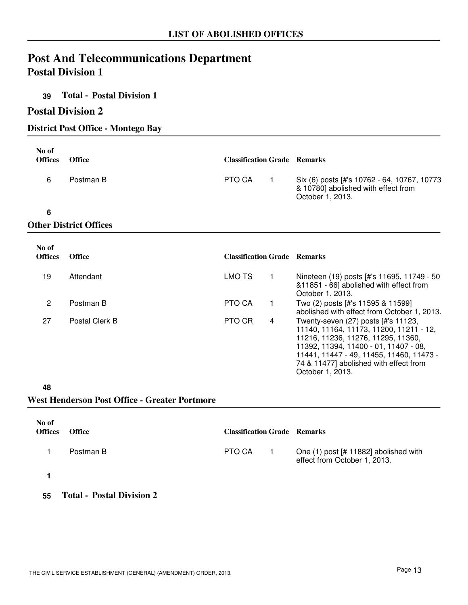# **Post And Telecommunications Department Postal Division 1**

### **39 Total - Postal Division 1**

### **Postal Division 2**

### **District Post Office - Montego Bay**

| No of<br><b>Offices</b> | <b>Office</b>                 | <b>Classification Grade Remarks</b> |                                                                                                        |
|-------------------------|-------------------------------|-------------------------------------|--------------------------------------------------------------------------------------------------------|
| 6                       | Postman B                     | PTO CA                              | Six (6) posts [#'s 10762 - 64, 10767, 10773<br>& 10780] abolished with effect from<br>October 1, 2013. |
| 6                       |                               |                                     |                                                                                                        |
|                         | <b>Other District Offices</b> |                                     |                                                                                                        |

| No of<br><b>Offices</b> | <b>Office</b>  | <b>Classification Grade Remarks</b> |   |                                                                                                                                                                                                                                                                         |
|-------------------------|----------------|-------------------------------------|---|-------------------------------------------------------------------------------------------------------------------------------------------------------------------------------------------------------------------------------------------------------------------------|
| 19                      | Attendant      | LMO TS                              |   | Nineteen (19) posts [#'s 11695, 11749 - 50<br>&11851 - 66] abolished with effect from<br>October 1, 2013.                                                                                                                                                               |
| 2                       | Postman B      | PTO CA                              |   | Two (2) posts [#'s 11595 & 11599]<br>abolished with effect from October 1, 2013.                                                                                                                                                                                        |
| 27                      | Postal Clerk B | PTO CR                              | 4 | Twenty-seven (27) posts [#'s 11123,<br>11140, 11164, 11173, 11200, 11211 - 12,<br>11216, 11236, 11276, 11295, 11360,<br>11392, 11394, 11400 - 01, 11407 - 08,<br>11441, 11447 - 49, 11455, 11460, 11473 -<br>74 & 11477] abolished with effect from<br>October 1, 2013. |

#### **48**

### **West Henderson Post Office - Greater Portmore**

| No of<br><b>Offices</b> | <b>Office</b> | <b>Classification Grade Remarks</b> |                                                                       |
|-------------------------|---------------|-------------------------------------|-----------------------------------------------------------------------|
|                         | Postman B     | PTO CA                              | One (1) post [# 11882] abolished with<br>effect from October 1, 2013. |
|                         |               |                                     |                                                                       |

**55 Total - Postal Division 2**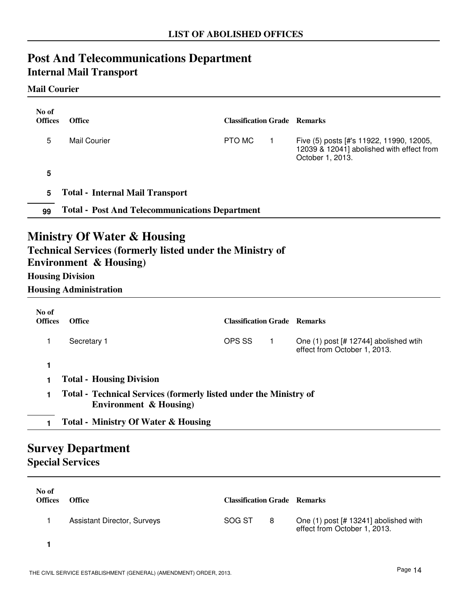# **Post And Telecommunications Department Internal Mail Transport**

### **Mail Courier**

| No of                                               |                                                                                                                                                                                                             |                                     |              |                                                                                                           |  |
|-----------------------------------------------------|-------------------------------------------------------------------------------------------------------------------------------------------------------------------------------------------------------------|-------------------------------------|--------------|-----------------------------------------------------------------------------------------------------------|--|
| <b>Offices</b>                                      | <b>Office</b>                                                                                                                                                                                               | <b>Classification Grade Remarks</b> |              |                                                                                                           |  |
| 5                                                   | <b>Mail Courier</b>                                                                                                                                                                                         | PTO MC                              | $\mathbf{1}$ | Five (5) posts [#'s 11922, 11990, 12005,<br>12039 & 12041] abolished with effect from<br>October 1, 2013. |  |
| 5                                                   |                                                                                                                                                                                                             |                                     |              |                                                                                                           |  |
| 5                                                   | <b>Total - Internal Mail Transport</b>                                                                                                                                                                      |                                     |              |                                                                                                           |  |
| 99                                                  | <b>Total - Post And Telecommunications Department</b>                                                                                                                                                       |                                     |              |                                                                                                           |  |
|                                                     | <b>Ministry Of Water &amp; Housing</b><br><b>Technical Services (formerly listed under the Ministry of</b><br><b>Environment &amp; Housing)</b><br><b>Housing Division</b><br><b>Housing Administration</b> |                                     |              |                                                                                                           |  |
| No of<br><b>Offices</b>                             | <b>Office</b>                                                                                                                                                                                               | <b>Classification Grade Remarks</b> |              |                                                                                                           |  |
| 1                                                   | Secretary 1                                                                                                                                                                                                 | OPS SS                              | $\mathbf{1}$ | One $(1)$ post [# 12744] abolished wtih<br>effect from October 1, 2013.                                   |  |
| 1                                                   |                                                                                                                                                                                                             |                                     |              |                                                                                                           |  |
| 1                                                   | <b>Total - Housing Division</b>                                                                                                                                                                             |                                     |              |                                                                                                           |  |
| 1                                                   | Total - Technical Services (formerly listed under the Ministry of<br><b>Environment &amp; Housing)</b>                                                                                                      |                                     |              |                                                                                                           |  |
| $\mathbf{1}$                                        | <b>Total - Ministry Of Water &amp; Housing</b>                                                                                                                                                              |                                     |              |                                                                                                           |  |
| <b>Survey Department</b><br><b>Special Services</b> |                                                                                                                                                                                                             |                                     |              |                                                                                                           |  |

| No of<br><b>Offices</b> | <b>Office</b>                      | <b>Classification Grade Remarks</b> |   |                                                                       |
|-------------------------|------------------------------------|-------------------------------------|---|-----------------------------------------------------------------------|
|                         | <b>Assistant Director, Surveys</b> | SOG ST                              | 8 | One (1) post [# 13241] abolished with<br>effect from October 1, 2013. |
|                         |                                    |                                     |   |                                                                       |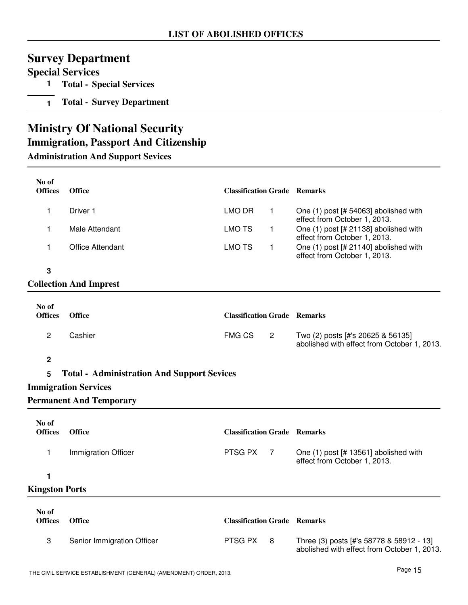# **Survey Department**

### **Special Services**

- **1 Total Special Services**
- **1 Total Survey Department**

# **Ministry Of National Security**

### **Immigration, Passport And Citizenship**

**Administration And Support Sevices**

| No of<br><b>Offices</b> | <b>Office</b>                                     | <b>Classification Grade Remarks</b> |                |                                                                                         |
|-------------------------|---------------------------------------------------|-------------------------------------|----------------|-----------------------------------------------------------------------------------------|
| 1                       | Driver 1                                          | LMO DR                              | $\mathbf{1}$   | One (1) post [# 54063] abolished with<br>effect from October 1, 2013.                   |
| 1                       | Male Attendant                                    | <b>LMO TS</b>                       | $\mathbf{1}$   | One (1) post [# 21138] abolished with<br>effect from October 1, 2013.                   |
| 1                       | <b>Office Attendant</b>                           | <b>LMO TS</b>                       | $\mathbf{1}$   | One (1) post [# 21140] abolished with<br>effect from October 1, 2013.                   |
| 3                       |                                                   |                                     |                |                                                                                         |
|                         | <b>Collection And Imprest</b>                     |                                     |                |                                                                                         |
| No of                   |                                                   |                                     |                |                                                                                         |
| <b>Offices</b>          | <b>Office</b>                                     | <b>Classification Grade Remarks</b> |                |                                                                                         |
| $\overline{c}$          | Cashier                                           | <b>FMG CS</b>                       | $\overline{2}$ | Two (2) posts [#'s 20625 & 56135]<br>abolished with effect from October 1, 2013.        |
| $\boldsymbol{2}$        |                                                   |                                     |                |                                                                                         |
| 5                       | <b>Total - Administration And Support Sevices</b> |                                     |                |                                                                                         |
|                         | <b>Immigration Services</b>                       |                                     |                |                                                                                         |
|                         | <b>Permanent And Temporary</b>                    |                                     |                |                                                                                         |
| No of                   |                                                   |                                     |                |                                                                                         |
| <b>Offices</b>          | <b>Office</b>                                     | <b>Classification Grade Remarks</b> |                |                                                                                         |
| 1                       | Immigration Officer                               | PTSG PX                             | $\overline{7}$ | One (1) post [# 13561] abolished with<br>effect from October 1, 2013.                   |
| 1                       |                                                   |                                     |                |                                                                                         |
| <b>Kingston Ports</b>   |                                                   |                                     |                |                                                                                         |
| No of<br><b>Offices</b> | <b>Office</b>                                     | <b>Classification Grade Remarks</b> |                |                                                                                         |
|                         |                                                   |                                     |                |                                                                                         |
| 3                       | Senior Immigration Officer                        | PTSG PX                             | 8              | Three (3) posts [#'s 58778 & 58912 - 13]<br>abolished with effect from October 1, 2013. |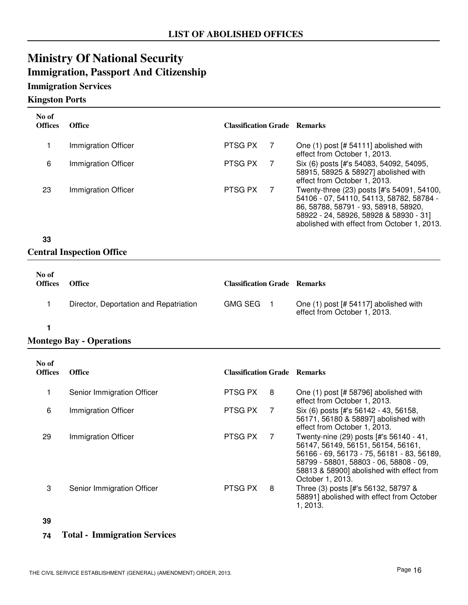# **Ministry Of National Security Immigration, Passport And Citizenship**

### **Immigration Services**

#### **Kingston Ports**

| No of<br><b>Offices</b> | <b>Office</b>       | <b>Classification Grade Remarks</b> |                                                                                                                                                                          |
|-------------------------|---------------------|-------------------------------------|--------------------------------------------------------------------------------------------------------------------------------------------------------------------------|
|                         | Immigration Officer | PTSG PX                             | One $(1)$ post [# 54111] abolished with<br>effect from October 1, 2013.                                                                                                  |
| 6                       | Immigration Officer | PTSG PX                             | Six (6) posts [#'s 54083, 54092, 54095,<br>58915, 58925 & 58927] abolished with<br>effect from October 1, 2013.                                                          |
| 23                      | Immigration Officer | PTSG PX                             | Twenty-three (23) posts [#'s 54091, 54100,<br>54106 - 07, 54110, 54113, 58782, 58784 -<br>86, 58788, 58791 - 93, 58918, 58920,<br>58922 - 24, 58926, 58928 & 58930 - 31] |

### **33**

### **Central Inspection Office**

| No of<br><b>Offices</b> | <b>Office</b>                          | <b>Classification Grade Remarks</b> |                                                                       |
|-------------------------|----------------------------------------|-------------------------------------|-----------------------------------------------------------------------|
|                         | Director, Deportation and Repatriation | <b>GMG SEG</b>                      | One (1) post [# 54117] abolished with<br>effect from October 1, 2013. |

### **1**

### **Montego Bay - Operations**

| No of<br><b>Offices</b> | <b>Office</b>              | <b>Classification Grade Remarks</b> |                |                                                                                                                                                                                                                                        |
|-------------------------|----------------------------|-------------------------------------|----------------|----------------------------------------------------------------------------------------------------------------------------------------------------------------------------------------------------------------------------------------|
| 1                       | Senior Immigration Officer | PTSG PX                             | 8              | One (1) post [# 58796] abolished with<br>effect from October 1, 2013.                                                                                                                                                                  |
| 6                       | Immigration Officer        | PTSG PX                             |                | Six (6) posts [#'s 56142 - 43, 56158,<br>56171, 56180 & 58897] abolished with<br>effect from October 1, 2013.                                                                                                                          |
| 29                      | Immigration Officer        | PTSG PX                             | $\overline{7}$ | Twenty-nine (29) posts [#'s 56140 - 41,<br>56147, 56149, 56151, 56154, 56161,<br>56166 - 69, 56173 - 75, 56181 - 83, 56189,<br>58799 - 58801, 58803 - 06, 58808 - 09,<br>58813 & 58900] abolished with effect from<br>October 1, 2013. |
| 3                       | Senior Immigration Officer | PTSG PX                             | 8              | Three (3) posts [#'s 56132, 58797 &<br>58891] abolished with effect from October<br>1, 2013.                                                                                                                                           |

#### **39**

### **74 Total - Immigration Services**

abolished with effect from October 1, 2013.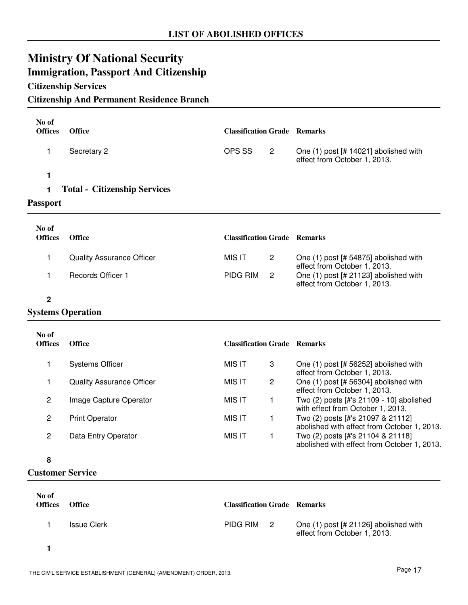# **Ministry Of National Security Immigration, Passport And Citizenship**

### **Citizenship Services**

### **Citizenship And Permanent Residence Branch**

| No of<br><b>Offices</b> | <b>Office</b>                       | <b>Classification Grade Remarks</b> |                |                                                                                  |
|-------------------------|-------------------------------------|-------------------------------------|----------------|----------------------------------------------------------------------------------|
| 1                       | Secretary 2                         | OPS SS                              | $\overline{2}$ | One (1) post [# 14021] abolished with<br>effect from October 1, 2013.            |
| 1                       |                                     |                                     |                |                                                                                  |
| 1                       | <b>Total - Citizenship Services</b> |                                     |                |                                                                                  |
| <b>Passport</b>         |                                     |                                     |                |                                                                                  |
| No of                   |                                     |                                     |                |                                                                                  |
| <b>Offices</b>          | Office                              | <b>Classification Grade Remarks</b> |                |                                                                                  |
| 1                       | <b>Quality Assurance Officer</b>    | <b>MIS IT</b>                       | $\overline{2}$ | One (1) post [# 54875] abolished with<br>effect from October 1, 2013.            |
| 1                       | Records Officer 1                   | PIDG RIM                            | $\overline{2}$ | One (1) post [# 21123] abolished with<br>effect from October 1, 2013.            |
| $\overline{2}$          |                                     |                                     |                |                                                                                  |
|                         | <b>Systems Operation</b>            |                                     |                |                                                                                  |
| No of<br><b>Offices</b> | Office                              | <b>Classification Grade Remarks</b> |                |                                                                                  |
|                         |                                     |                                     |                |                                                                                  |
| 1                       | <b>Systems Officer</b>              | <b>MIS IT</b>                       | 3              | One (1) post [# 56252] abolished with<br>effect from October 1, 2013.            |
| 1                       | <b>Quality Assurance Officer</b>    | <b>MIS IT</b>                       | $\mathbf{2}$   | One (1) post [# 56304] abolished with<br>effect from October 1, 2013.            |
| $\overline{c}$          | Image Capture Operator              | <b>MIS IT</b>                       | $\mathbf 1$    | Two (2) posts [#'s 21109 - 10] abolished<br>with effect from October 1, 2013.    |
| $\overline{c}$          | <b>Print Operator</b>               | <b>MIS IT</b>                       | 1              | Two (2) posts [#'s 21097 & 21112]<br>abolished with effect from October 1, 2013. |
| $\overline{2}$          | Data Entry Operator                 | <b>MIS IT</b>                       | 1              | Two (2) posts [#'s 21104 & 21118]<br>abolished with effect from October 1, 2013. |
| 8                       |                                     |                                     |                |                                                                                  |

**Customer Service**

| No of<br><b>Offices</b> | <b>Office</b> | <b>Classification Grade Remarks</b> |                                                                       |
|-------------------------|---------------|-------------------------------------|-----------------------------------------------------------------------|
|                         | Issue Clerk   | PIDG RIM 2                          | One (1) post [# 21126] abolished with<br>effect from October 1, 2013. |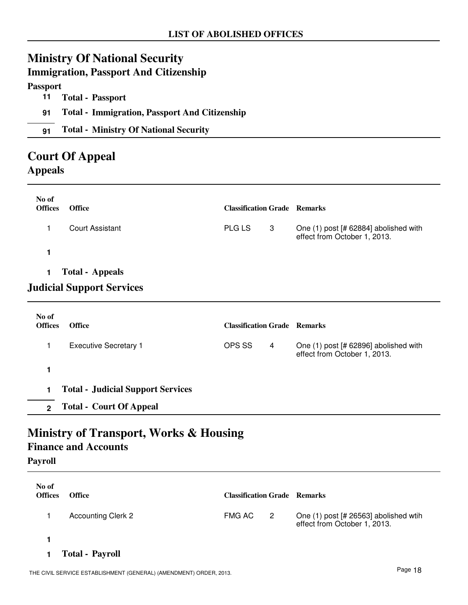# **Ministry Of National Security**

# **Immigration, Passport And Citizenship Passport 11 Total - Passport 91 Total - Immigration, Passport And Citizenship 91 Total - Ministry Of National Security Court Of Appeal**

# **Appeals**

| No of<br><b>Offices</b> | <b>Office</b>                    | <b>Classification Grade Remarks</b> |   |                                                                       |
|-------------------------|----------------------------------|-------------------------------------|---|-----------------------------------------------------------------------|
|                         | Court Assistant                  | <b>PLG LS</b>                       | 3 | One (1) post [# 62884] abolished with<br>effect from October 1, 2013. |
|                         |                                  |                                     |   |                                                                       |
| 1.                      | <b>Total - Appeals</b>           |                                     |   |                                                                       |
|                         | <b>Judicial Support Services</b> |                                     |   |                                                                       |

| No of<br><b>Offices</b> | <b>Office</b>                            | <b>Classification Grade Remarks</b> |   |                                                                       |
|-------------------------|------------------------------------------|-------------------------------------|---|-----------------------------------------------------------------------|
|                         | <b>Executive Secretary 1</b>             | OPS SS                              | 4 | One (1) post [# 62896] abolished with<br>effect from October 1, 2013. |
|                         |                                          |                                     |   |                                                                       |
|                         | <b>Total - Judicial Support Services</b> |                                     |   |                                                                       |
| $\mathbf{c}$            | <b>Total - Court Of Appeal</b>           |                                     |   |                                                                       |

## **Ministry of Transport, Works & Housing Finance and Accounts**

**Payroll**

| No of<br><b>Offices</b> | <b>Office</b>             | <b>Classification Grade Remarks</b> |                            |                                                                       |
|-------------------------|---------------------------|-------------------------------------|----------------------------|-----------------------------------------------------------------------|
|                         | <b>Accounting Clerk 2</b> | FMG AC                              | $\overline{\phantom{a}}^2$ | One (1) post [# 26563] abolished wtih<br>effect from October 1, 2013. |
|                         |                           |                                     |                            |                                                                       |
| 1.                      | <b>Total - Payroll</b>    |                                     |                            |                                                                       |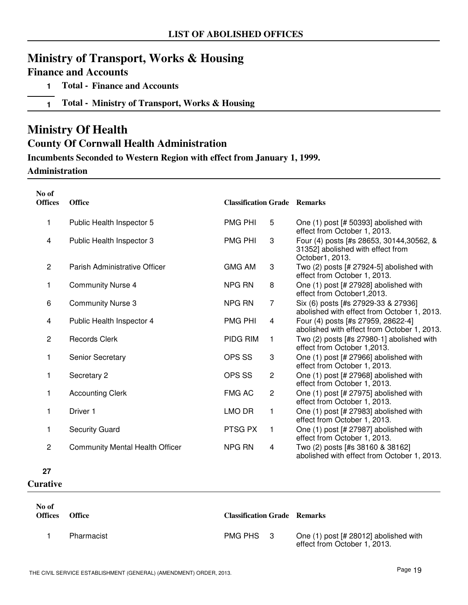# **Ministry of Transport, Works & Housing**

### **Finance and Accounts**

- **1 Total Finance and Accounts**
- **1 Total Ministry of Transport, Works & Housing**

### **Ministry Of Health**

### **County Of Cornwall Health Administration**

### **Incumbents Seconded to Western Region with effect from January 1, 1999.**

### **Administration**

| No of<br><b>Offices</b> | <b>Office</b>                          | <b>Classification Grade Remarks</b> |                |                                                                                                   |
|-------------------------|----------------------------------------|-------------------------------------|----------------|---------------------------------------------------------------------------------------------------|
| 1                       | Public Health Inspector 5              | <b>PMG PHI</b>                      | 5              | One (1) post [# 50393] abolished with<br>effect from October 1, 2013.                             |
| 4                       | Public Health Inspector 3              | <b>PMG PHI</b>                      | 3              | Four (4) posts [#s 28653, 30144, 30562, &<br>31352] abolished with effect from<br>October1, 2013. |
| $\overline{c}$          | Parish Administrative Officer          | <b>GMG AM</b>                       | 3              | Two (2) posts [# 27924-5] abolished with<br>effect from October 1, 2013.                          |
| 1                       | <b>Community Nurse 4</b>               | <b>NPG RN</b>                       | 8              | One (1) post [# 27928] abolished with<br>effect from October1,2013.                               |
| 6                       | <b>Community Nurse 3</b>               | NPG RN                              | 7              | Six (6) posts [#s 27929-33 & 27936]<br>abolished with effect from October 1, 2013.                |
| 4                       | Public Health Inspector 4              | <b>PMG PHI</b>                      | 4              | Four (4) posts [#s 27959, 28622-4]<br>abolished with effect from October 1, 2013.                 |
| $\overline{c}$          | <b>Records Clerk</b>                   | PIDG RIM                            | 1              | Two $(2)$ posts [#s 27980-1] abolished with<br>effect from October 1,2013.                        |
| 1                       | <b>Senior Secretary</b>                | OPS SS                              | 3              | One (1) post [# 27966] abolished with<br>effect from October 1, 2013.                             |
| 1                       | Secretary 2                            | OPS SS                              | $\overline{c}$ | One (1) post [# 27968] abolished with<br>effect from October 1, 2013.                             |
| 1                       | <b>Accounting Clerk</b>                | <b>FMG AC</b>                       | $\mathbf{2}$   | One (1) post [# 27975] abolished with<br>effect from October 1, 2013.                             |
| 1                       | Driver 1                               | LMO DR                              | 1              | One (1) post [# 27983] abolished with<br>effect from October 1, 2013.                             |
| 1                       | <b>Security Guard</b>                  | PTSG PX                             | $\mathbf{1}$   | One (1) post [# 27987] abolished with<br>effect from October 1, 2013.                             |
| 2                       | <b>Community Mental Health Officer</b> | NPG RN                              | 4              | Two (2) posts [#s 38160 & 38162]<br>abolished with effect from October 1, 2013.                   |

### **27**

### **Curative**

| No of<br><b>Offices</b> | <b>Office</b> | <b>Classification Grade Remarks</b> |                                                                       |
|-------------------------|---------------|-------------------------------------|-----------------------------------------------------------------------|
|                         | Pharmacist    | PMG PHS 3                           | One (1) post [# 28012] abolished with<br>effect from October 1, 2013. |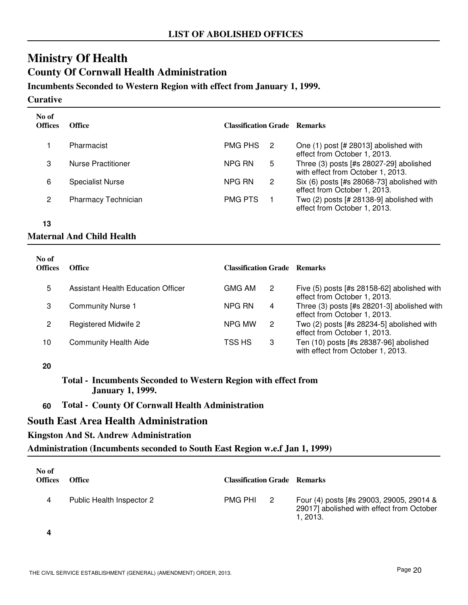# **Ministry Of Health County Of Cornwall Health Administration**

### **Incumbents Seconded to Western Region with effect from January 1, 1999.**

#### **Curative**

| No of<br><b>Offices</b> | <b>Office</b>              | <b>Classification Grade Remarks</b> |                      |                                                                                |
|-------------------------|----------------------------|-------------------------------------|----------------------|--------------------------------------------------------------------------------|
|                         | Pharmacist                 | <b>PMG PHS</b><br>-2                |                      | One (1) post [# 28013] abolished with<br>effect from October 1, 2013.          |
| 3                       | Nurse Practitioner         | NPG RN                              | 5                    | Three $(3)$ posts [#s 28027-29] abolished<br>with effect from October 1, 2013. |
| 6                       | <b>Specialist Nurse</b>    | NPG RN                              | $\mathbf{2}^{\circ}$ | Six (6) posts [#s 28068-73] abolished with<br>effect from October 1, 2013.     |
| 2                       | <b>Pharmacy Technician</b> | <b>PMG PTS</b>                      |                      | Two $(2)$ posts $[# 28138-9]$ abolished with<br>effect from October 1, 2013.   |

**13**

### **Maternal And Child Health**

| No of<br><b>Offices</b> | <b>Office</b>                      | <b>Classification Grade Remarks</b> |   |                                                                             |
|-------------------------|------------------------------------|-------------------------------------|---|-----------------------------------------------------------------------------|
| 5                       | Assistant Health Education Officer | GMG AM                              | 2 | Five (5) posts [#s 28158-62] abolished with<br>effect from October 1, 2013. |
| 3                       | <b>Community Nurse 1</b>           | NPG RN                              | 4 | Three (3) posts [#s 28201-3] abolished with<br>effect from October 1, 2013. |
| 2                       | Registered Midwife 2               | NPG MW                              | 2 | Two (2) posts [#s 28234-5] abolished with<br>effect from October 1, 2013.   |
| 10                      | <b>Community Health Aide</b>       | TSS HS                              | 3 | Ten (10) posts [#s 28387-96] abolished<br>with effect from October 1, 2013. |

**20**

### **Total - Incumbents Seconded to Western Region with effect from January 1, 1999.**

### **60 Total - County Of Cornwall Health Administration**

### **South East Area Health Administration**

### **Kingston And St. Andrew Administration**

### **Administration (Incumbents seconded to South East Region w.e.f Jan 1, 1999)**

| No of<br><b>Offices</b> | <b>Office</b>             | <b>Classification Grade Remarks</b> |                                                                                                   |
|-------------------------|---------------------------|-------------------------------------|---------------------------------------------------------------------------------------------------|
| 4                       | Public Health Inspector 2 | PMG PHI <sub>2</sub>                | Four (4) posts [#s 29003, 29005, 29014 &<br>29017] abolished with effect from October<br>1. 2013. |

**4**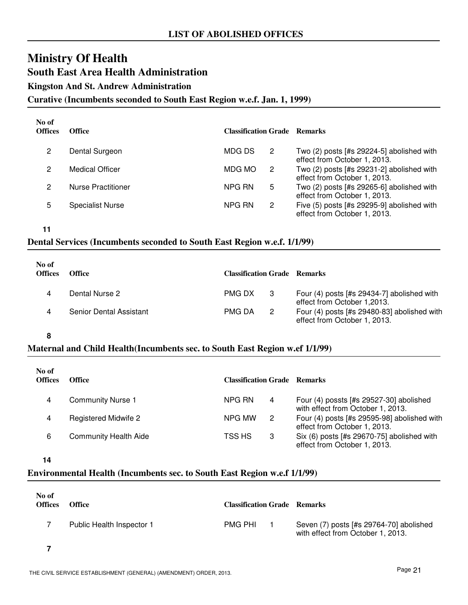# **Ministry Of Health South East Area Health Administration**

**Kingston And St. Andrew Administration**

**Curative (Incumbents seconded to South East Region w.e.f. Jan. 1, 1999)**

| No of<br><b>Offices</b> | Office                    | <b>Classification Grade Remarks</b> |                      |                                                                             |
|-------------------------|---------------------------|-------------------------------------|----------------------|-----------------------------------------------------------------------------|
| 2                       | Dental Surgeon            | MDG DS                              | 2                    | Two $(2)$ posts [#s 29224-5] abolished with<br>effect from October 1, 2013. |
| 2                       | <b>Medical Officer</b>    | MDG MO                              | $\mathbf{2}^{\circ}$ | Two $(2)$ posts [#s 29231-2] abolished with<br>effect from October 1, 2013. |
| 2                       | <b>Nurse Practitioner</b> | NPG RN                              | 5                    | Two (2) posts [#s 29265-6] abolished with<br>effect from October 1, 2013.   |
| 5                       | <b>Specialist Nurse</b>   | NPG RN                              | $\mathbf{2}^{\circ}$ | Five (5) posts [#s 29295-9] abolished with<br>effect from October 1, 2013.  |

**11**

### **Dental Services (Incumbents seconded to South East Region w.e.f. 1/1/99)**

| No of<br><b>Offices</b> | <b>Office</b>           | <b>Classification Grade Remarks</b> |                                                                               |
|-------------------------|-------------------------|-------------------------------------|-------------------------------------------------------------------------------|
|                         | Dental Nurse 2          | PMG DX<br>- 3                       | Four $(4)$ posts [#s 29434-7] abolished with<br>effect from October 1,2013.   |
|                         | Senior Dental Assistant | <b>PMG DA</b><br>2                  | Four $(4)$ posts [#s 29480-83] abolished with<br>effect from October 1, 2013. |

**8**

### **Maternal and Child Health(Incumbents sec. to South East Region w.ef 1/1/99)**

| No of<br><b>Offices</b> | Office                       | <b>Classification Grade Remarks</b> |                                                                                |
|-------------------------|------------------------------|-------------------------------------|--------------------------------------------------------------------------------|
| 4                       | <b>Community Nurse 1</b>     | NPG RN<br>4                         | Four $(4)$ possts [#s 29527-30] abolished<br>with effect from October 1, 2013. |
| 4                       | <b>Registered Midwife 2</b>  | NPG MW<br>2                         | Four (4) posts [#s 29595-98] abolished with<br>effect from October 1, 2013.    |
| 6                       | <b>Community Health Aide</b> | TSS HS<br>3                         | Six (6) posts [#s 29670-75] abolished with<br>effect from October 1, 2013.     |

**14**

### **Environmental Health (Incumbents sec. to South East Region w.e.f 1/1/99)**

| No of<br><b>Offices</b> | <b>Office</b>             | <b>Classification Grade Remarks</b> |                                                                              |
|-------------------------|---------------------------|-------------------------------------|------------------------------------------------------------------------------|
|                         | Public Health Inspector 1 | <b>PMG PHI</b>                      | Seven (7) posts [#s 29764-70] abolished<br>with effect from October 1, 2013. |

**7**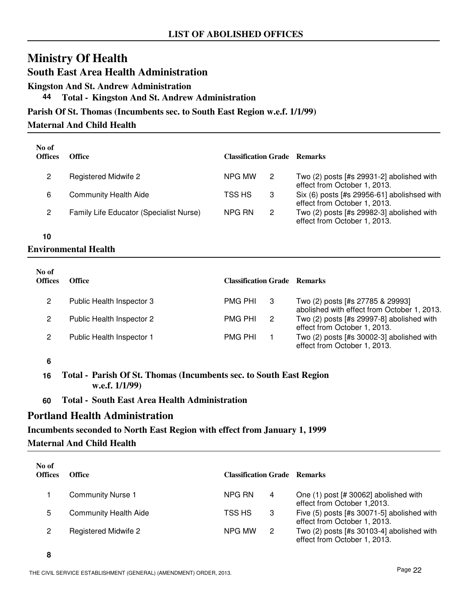**South East Area Health Administration**

**Kingston And St. Andrew Administration**

**44 Total - Kingston And St. Andrew Administration**

### **Parish Of St. Thomas (Incumbents sec. to South East Region w.e.f. 1/1/99)**

### **Maternal And Child Health**

| No of<br><b>Offices</b> | <b>Office</b>                           | <b>Classification Grade Remarks</b> |                                                                             |
|-------------------------|-----------------------------------------|-------------------------------------|-----------------------------------------------------------------------------|
| 2                       | Registered Midwife 2                    | NPG MW<br>2                         | Two $(2)$ posts [#s 29931-2] abolished with<br>effect from October 1, 2013. |
| 6                       | <b>Community Health Aide</b>            | TSS HS<br>3                         | Six (6) posts [#s 29956-61] abolishsed with<br>effect from October 1, 2013. |
| 2                       | Family Life Educator (Specialist Nurse) | $\mathbf{2}$<br>NPG RN              | Two (2) posts [#s 29982-3] abolished with<br>effect from October 1, 2013.   |

**10**

### **Environmental Health**

| No of<br><b>Offices</b> | <b>Office</b>             | <b>Classification Grade Remarks</b> |                                                                                 |
|-------------------------|---------------------------|-------------------------------------|---------------------------------------------------------------------------------|
| 2                       | Public Health Inspector 3 | <b>PMG PHI</b>                      | Two (2) posts [#s 27785 & 29993]<br>abolished with effect from October 1, 2013. |
| 2                       | Public Health Inspector 2 | <b>PMG PHI</b><br>-2                | Two (2) posts [#s 29997-8] abolished with<br>effect from October 1, 2013.       |
| 2                       | Public Health Inspector 1 | <b>PMG PHI</b>                      | Two $(2)$ posts [#s 30002-3] abolished with<br>effect from October 1, 2013.     |

**6**

**16 Total - Parish Of St. Thomas (Incumbents sec. to South East Region w.e.f. 1/1/99)**

**60 Total - South East Area Health Administration**

### **Portland Health Administration**

### **Incumbents seconded to North East Region with effect from January 1, 1999 Maternal And Child Health**

| No of<br><b>Offices</b> | <b>Office</b>                | <b>Classification Grade Remarks</b> |   |                                                                             |
|-------------------------|------------------------------|-------------------------------------|---|-----------------------------------------------------------------------------|
|                         | <b>Community Nurse 1</b>     | NPG RN                              | 4 | One (1) post [# 30062] abolished with<br>effect from October 1,2013.        |
| 5                       | <b>Community Health Aide</b> | TSS HS                              | 3 | Five (5) posts [#s 30071-5] abolished with<br>effect from October 1, 2013.  |
| 2                       | <b>Registered Midwife 2</b>  | NPG MW                              | 2 | Two $(2)$ posts [#s 30103-4] abolished with<br>effect from October 1, 2013. |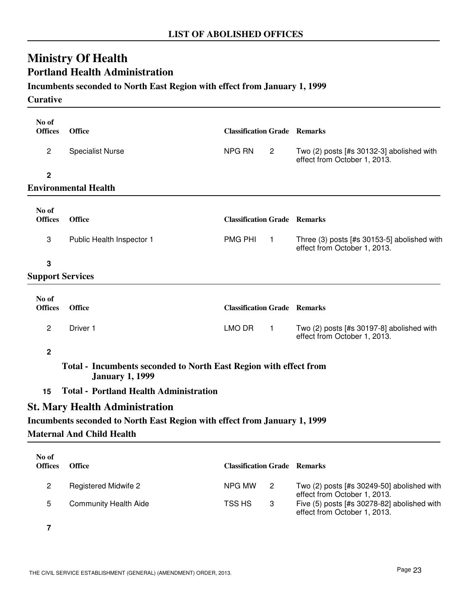## **Ministry Of Health Portland Health Administration**

### **Incumbents seconded to North East Region with effect from January 1, 1999**

### **Curative**

| No of<br><b>Offices</b> | Office                                                                                      | <b>Classification Grade Remarks</b> |                |                                                                             |
|-------------------------|---------------------------------------------------------------------------------------------|-------------------------------------|----------------|-----------------------------------------------------------------------------|
|                         |                                                                                             |                                     |                |                                                                             |
| $\overline{c}$          | <b>Specialist Nurse</b>                                                                     | NPG RN                              | $\overline{2}$ | Two (2) posts [#s 30132-3] abolished with<br>effect from October 1, 2013.   |
| $\mathbf 2$             |                                                                                             |                                     |                |                                                                             |
|                         | <b>Environmental Health</b>                                                                 |                                     |                |                                                                             |
| No of                   |                                                                                             |                                     |                |                                                                             |
| <b>Offices</b>          | <b>Office</b>                                                                               | <b>Classification Grade Remarks</b> |                |                                                                             |
| 3                       | Public Health Inspector 1                                                                   | <b>PMG PHI</b>                      | $\mathbf{1}$   | Three (3) posts [#s 30153-5] abolished with<br>effect from October 1, 2013. |
| 3                       |                                                                                             |                                     |                |                                                                             |
| <b>Support Services</b> |                                                                                             |                                     |                |                                                                             |
|                         |                                                                                             |                                     |                |                                                                             |
| No of<br><b>Offices</b> | Office                                                                                      | <b>Classification Grade Remarks</b> |                |                                                                             |
| $\overline{c}$          | Driver 1                                                                                    | LMO DR                              | $\mathbf{1}$   | Two (2) posts [#s 30197-8] abolished with<br>effect from October 1, 2013.   |
| $\overline{2}$          |                                                                                             |                                     |                |                                                                             |
|                         | Total - Incumbents seconded to North East Region with effect from<br><b>January 1, 1999</b> |                                     |                |                                                                             |
| 15                      | <b>Total - Portland Health Administration</b>                                               |                                     |                |                                                                             |
|                         | <b>St. Mary Health Administration</b>                                                       |                                     |                |                                                                             |
|                         | Incumbents seconded to North East Region with effect from January 1, 1999                   |                                     |                |                                                                             |
|                         | <b>Maternal And Child Health</b>                                                            |                                     |                |                                                                             |
|                         |                                                                                             |                                     |                |                                                                             |
| No of<br><b>Offices</b> | Office                                                                                      | <b>Classification Grade Remarks</b> |                |                                                                             |
| $\overline{c}$          | <b>Registered Midwife 2</b>                                                                 | NPG MW                              | $\overline{c}$ | Two (2) posts [#s 30249-50] abolished with<br>effect from October 1, 2013.  |
| 5                       | <b>Community Health Aide</b>                                                                | TSS HS                              | 3              | Five (5) posts [#s 30278-82] abolished with<br>effect from October 1, 2013. |

**7**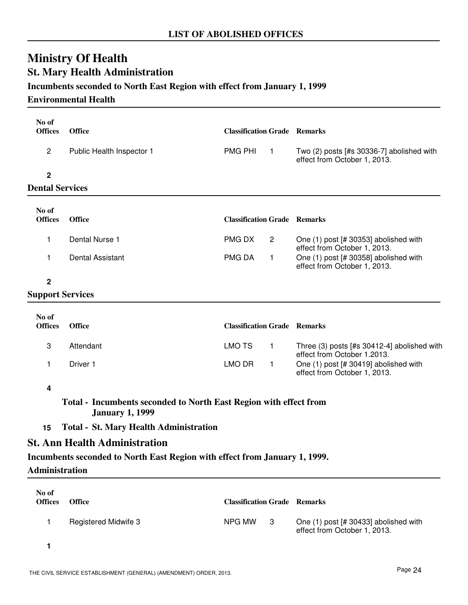## **Ministry Of Health St. Mary Health Administration**

### **Incumbents seconded to North East Region with effect from January 1, 1999**

### **Environmental Health**

| No of<br><b>Offices</b> | <b>Office</b>                                                                               | <b>Classification Grade Remarks</b> |                |                                                                            |
|-------------------------|---------------------------------------------------------------------------------------------|-------------------------------------|----------------|----------------------------------------------------------------------------|
| $\overline{c}$          | Public Health Inspector 1                                                                   | <b>PMG PHI</b>                      | $\overline{1}$ | Two (2) posts [#s 30336-7] abolished with<br>effect from October 1, 2013.  |
| $\mathbf 2$             |                                                                                             |                                     |                |                                                                            |
| <b>Dental Services</b>  |                                                                                             |                                     |                |                                                                            |
|                         |                                                                                             |                                     |                |                                                                            |
| No of<br><b>Offices</b> | Office                                                                                      | <b>Classification Grade Remarks</b> |                |                                                                            |
| 1                       | Dental Nurse 1                                                                              | <b>PMGDX</b>                        | $\overline{2}$ | One (1) post [# 30353] abolished with<br>effect from October 1, 2013.      |
| 1                       | <b>Dental Assistant</b>                                                                     | <b>PMG DA</b>                       | $\mathbf{1}$   | One (1) post [# 30358] abolished with<br>effect from October 1, 2013.      |
| $\mathbf 2$             |                                                                                             |                                     |                |                                                                            |
| <b>Support Services</b> |                                                                                             |                                     |                |                                                                            |
|                         |                                                                                             |                                     |                |                                                                            |
| No of<br><b>Offices</b> | Office                                                                                      | <b>Classification Grade Remarks</b> |                |                                                                            |
| 3                       | Attendant                                                                                   | <b>LMO TS</b>                       | $\mathbf{1}$   | Three (3) posts [#s 30412-4] abolished with<br>effect from October 1.2013. |
| 1                       | Driver 1                                                                                    | LMO DR                              | 1              | One (1) post [# 30419] abolished with<br>effect from October 1, 2013.      |
| 4                       |                                                                                             |                                     |                |                                                                            |
|                         | Total - Incumbents seconded to North East Region with effect from<br><b>January 1, 1999</b> |                                     |                |                                                                            |
| 15                      | <b>Total - St. Mary Health Administration</b>                                               |                                     |                |                                                                            |
|                         | <b>St. Ann Health Administration</b>                                                        |                                     |                |                                                                            |
|                         |                                                                                             |                                     |                |                                                                            |

### **Incumbents seconded to North East Region with effect from January 1, 1999.**

**Administration**

| No of<br><b>Offices</b> | <b>Office</b>               | <b>Classification Grade Remarks</b> |     |                                                                       |
|-------------------------|-----------------------------|-------------------------------------|-----|-----------------------------------------------------------------------|
|                         | <b>Registered Midwife 3</b> | NPG MW                              | - 3 | One (1) post [# 30433] abolished with<br>effect from October 1, 2013. |
|                         |                             |                                     |     |                                                                       |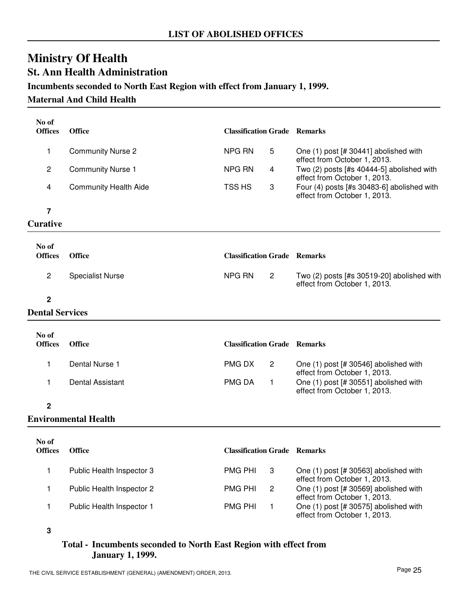## **Ministry Of Health St. Ann Health Administration**

### **Incumbents seconded to North East Region with effect from January 1, 1999.**

### **Maternal And Child Health**

| No of<br><b>Offices</b> | <b>Office</b>                | <b>Classification Grade Remarks</b> |                                                                              |
|-------------------------|------------------------------|-------------------------------------|------------------------------------------------------------------------------|
| 1                       | <b>Community Nurse 2</b>     | NPG RN<br>5                         | One (1) post [# 30441] abolished with<br>effect from October 1, 2013.        |
| $\overline{c}$          | <b>Community Nurse 1</b>     | NPG RN<br>4                         | Two (2) posts [#s 40444-5] abolished with<br>effect from October 1, 2013.    |
| 4                       | <b>Community Health Aide</b> | TSS HS<br>3                         | Four (4) posts [#s 30483-6] abolished with<br>effect from October 1, 2013.   |
| $\overline{7}$          |                              |                                     |                                                                              |
| <b>Curative</b>         |                              |                                     |                                                                              |
| No of                   |                              |                                     |                                                                              |
| <b>Offices</b>          | <b>Office</b>                | <b>Classification Grade Remarks</b> |                                                                              |
| $\overline{c}$          | <b>Specialist Nurse</b>      | <b>NPG RN</b><br>$\mathbf{2}$       | Two $(2)$ posts [#s 30519-20] abolished with<br>effect from October 1, 2013. |
| $\overline{2}$          |                              |                                     |                                                                              |
| <b>Dental Services</b>  |                              |                                     |                                                                              |
| No of<br><b>Offices</b> | <b>Office</b>                | <b>Classification Grade Remarks</b> |                                                                              |
| 1                       | Dental Nurse 1               | PMG DX<br>$\mathbf{2}$              | One (1) post [# 30546] abolished with<br>effect from October 1, 2013.        |
| 1                       | <b>Dental Assistant</b>      | PMG DA<br>$\mathbf{1}$              | One (1) post [# 30551] abolished with<br>effect from October 1, 2013.        |
| $\mathbf{2}$            |                              |                                     |                                                                              |
|                         | <b>Environmental Health</b>  |                                     |                                                                              |
| No of<br><b>Offices</b> | <b>Office</b>                | <b>Classification Grade Remarks</b> |                                                                              |
| 1                       | Public Health Inspector 3    | PMG PHI<br>3                        | One (1) post [# 30563] abolished with<br>effect from October 1, 2013.        |
| 1                       | Public Health Inspector 2    | <b>PMG PHI</b><br>$\overline{c}$    | One (1) post [# 30569] abolished with<br>effect from October 1, 2013.        |
| 1                       | Public Health Inspector 1    | <b>PMG PHI</b><br>1                 | One (1) post [# 30575] abolished with<br>effect from October 1, 2013.        |

**<sup>3</sup>**

### **Total - Incumbents seconded to North East Region with effect from January 1, 1999.**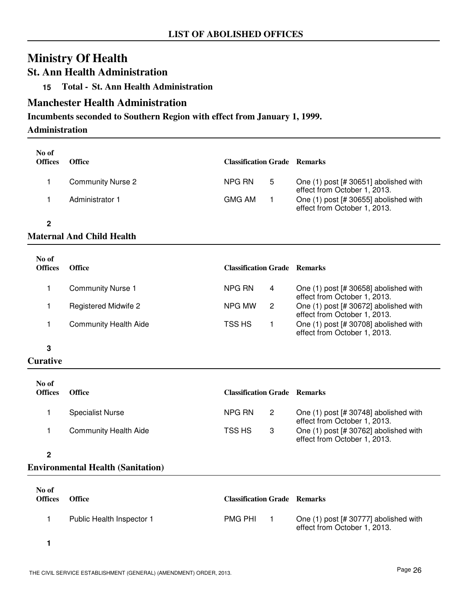### **St. Ann Health Administration**

**15 Total - St. Ann Health Administration**

### **Manchester Health Administration**

### **Incumbents seconded to Southern Region with effect from January 1, 1999.**

### **Administration**

| No of<br><b>Offices</b> | <b>Office</b>            | <b>Classification Grade Remarks</b> |   |                                                                         |
|-------------------------|--------------------------|-------------------------------------|---|-------------------------------------------------------------------------|
|                         | <b>Community Nurse 2</b> | NPG RN                              | 5 | One $(1)$ post [# 30651] abolished with<br>effect from October 1, 2013. |
|                         | Administrator 1          | <b>GMG AM</b>                       |   | One (1) post [# 30655] abolished with<br>effect from October 1, 2013.   |

**2**

### **Maternal And Child Health**

| No of<br><b>Offices</b> | <b>Office</b>                | <b>Classification Grade Remarks</b> |                                                                         |
|-------------------------|------------------------------|-------------------------------------|-------------------------------------------------------------------------|
|                         | <b>Community Nurse 1</b>     | NPG RN<br>4                         | One $(1)$ post [# 30658] abolished with<br>effect from October 1, 2013. |
|                         | Registered Midwife 2         | NPG MW<br>$\overline{2}$            | One (1) post [# 30672] abolished with<br>effect from October 1, 2013.   |
|                         | <b>Community Health Aide</b> | TSS HS                              | One (1) post [# 30708] abolished with<br>effect from October 1, 2013.   |

**3**

### **Curative**

| No of<br><b>Offices</b> | <b>Office</b>                | <b>Classification Grade Remarks</b> |   |                                                                         |
|-------------------------|------------------------------|-------------------------------------|---|-------------------------------------------------------------------------|
|                         | <b>Specialist Nurse</b>      | NPG RN                              | 2 | One $(1)$ post [# 30748] abolished with<br>effect from October 1, 2013. |
|                         | <b>Community Health Aide</b> | TSS HS                              | 3 | One (1) post [# 30762] abolished with<br>effect from October 1, 2013.   |

**2**

### **Environmental Health (Sanitation)**

| No of<br><b>Offices</b> | <b>Office</b>             | <b>Classification Grade Remarks</b> |                                                                       |
|-------------------------|---------------------------|-------------------------------------|-----------------------------------------------------------------------|
|                         | Public Health Inspector 1 | <b>PMG PHI</b>                      | One (1) post [# 30777] abolished with<br>effect from October 1, 2013. |
|                         |                           |                                     |                                                                       |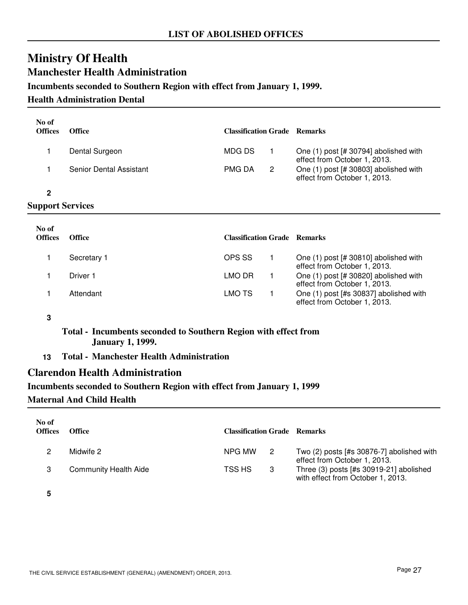### **Ministry Of Health Manchester Health Administration**

### **Incumbents seconded to Southern Region with effect from January 1, 1999.**

### **Health Administration Dental**

| No of | <b>Offices</b> | <b>Office</b>           | <b>Classification Grade Remarks</b> |   |                                                                       |  |
|-------|----------------|-------------------------|-------------------------------------|---|-----------------------------------------------------------------------|--|
|       |                | Dental Surgeon          | MDG DS                              |   | One (1) post [# 30794] abolished with<br>effect from October 1, 2013. |  |
|       |                | Senior Dental Assistant | <b>PMG DA</b>                       | 2 | One (1) post [# 30803] abolished with<br>effect from October 1, 2013. |  |
|       |                |                         |                                     |   |                                                                       |  |
|       | $\sim$ $\sim$  |                         |                                     |   |                                                                       |  |

### **Support Services**

| No of<br><b>Offices</b> | <b>Office</b> | <b>Classification Grade Remarks</b> |                                                                        |
|-------------------------|---------------|-------------------------------------|------------------------------------------------------------------------|
|                         | Secretary 1   | OPS SS                              | One (1) post [# 30810] abolished with<br>effect from October 1, 2013.  |
|                         | Driver 1      | LMO DR                              | One (1) post [# 30820] abolished with<br>effect from October 1, 2013.  |
|                         | Attendant     | LMO TS                              | One (1) post [#s 30837] abolished with<br>effect from October 1, 2013. |

#### **3**

**Total - Incumbents seconded to Southern Region with effect from January 1, 1999.**

**13 Total - Manchester Health Administration**

### **Clarendon Health Administration**

#### **Incumbents seconded to Southern Region with effect from January 1, 1999**

#### **Maternal And Child Health**

| No of<br><b>Offices</b> | Office                | <b>Classification Grade Remarks</b> |                |                                                                              |
|-------------------------|-----------------------|-------------------------------------|----------------|------------------------------------------------------------------------------|
|                         | Midwife 2             | NPG MW                              | $\overline{2}$ | Two (2) posts [#s 30876-7] abolished with<br>effect from October 1, 2013.    |
|                         | Community Health Aide | TSS HS                              | -3             | Three (3) posts [#s 30919-21] abolished<br>with effect from October 1, 2013. |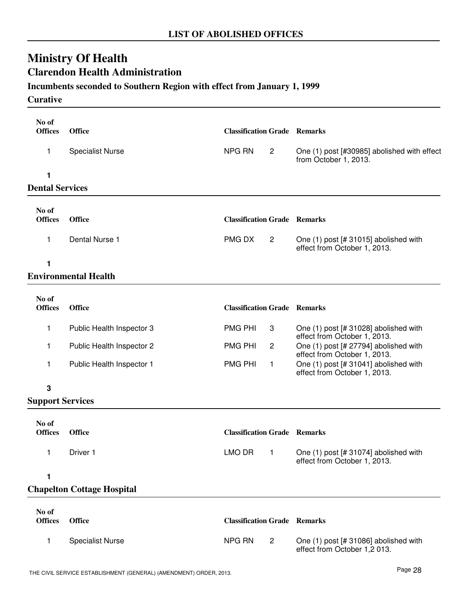## **Ministry Of Health Clarendon Health Administration**

### **Incumbents seconded to Southern Region with effect from January 1, 1999**

### **Curative**

| No of                   |                                   |                                     |                                                                                |
|-------------------------|-----------------------------------|-------------------------------------|--------------------------------------------------------------------------------|
| <b>Offices</b>          | <b>Office</b>                     | <b>Classification Grade Remarks</b> |                                                                                |
| 1                       | <b>Specialist Nurse</b>           | NPG RN<br>$\overline{c}$            | One (1) post [#30985] abolished with effect<br>from October 1, 2013.           |
| 1                       |                                   |                                     |                                                                                |
| <b>Dental Services</b>  |                                   |                                     |                                                                                |
| No of<br><b>Offices</b> | <b>Office</b>                     | <b>Classification Grade Remarks</b> |                                                                                |
| 1                       | Dental Nurse 1                    | PMG DX<br>$\overline{2}$            | One (1) post [# 31015] abolished with<br>effect from October 1, 2013.          |
| 1                       |                                   |                                     |                                                                                |
|                         | <b>Environmental Health</b>       |                                     |                                                                                |
| No of<br><b>Offices</b> | <b>Office</b>                     | <b>Classification Grade Remarks</b> |                                                                                |
| 1                       | Public Health Inspector 3         | <b>PMG PHI</b><br>3                 | One (1) post [# 31028] abolished with<br>effect from October 1, 2013.          |
| 1                       | Public Health Inspector 2         | <b>PMG PHI</b><br>2                 | One (1) post [# 27794] abolished with<br>effect from October 1, 2013.          |
| 1                       | Public Health Inspector 1         | <b>PMG PHI</b><br>$\mathbf{1}$      | One (1) post [# 31041] abolished with<br>effect from October 1, 2013.          |
| 3                       |                                   |                                     |                                                                                |
| <b>Support Services</b> |                                   |                                     |                                                                                |
| No of                   |                                   |                                     |                                                                                |
| <b>Offices</b>          | <b>Office</b>                     | <b>Classification Grade Remarks</b> |                                                                                |
| $\overline{1}$          | Driver 1                          |                                     | LMO DR 1 One (1) post [# 31074] abolished with<br>effect from October 1, 2013. |
| 1                       |                                   |                                     |                                                                                |
|                         | <b>Chapelton Cottage Hospital</b> |                                     |                                                                                |
| No of<br><b>Offices</b> | <b>Office</b>                     | <b>Classification Grade Remarks</b> |                                                                                |
| 1                       | <b>Specialist Nurse</b>           | <b>NPG RN</b><br>$\overline{c}$     | One (1) post [# 31086] abolished with<br>effect from October 1,2013.           |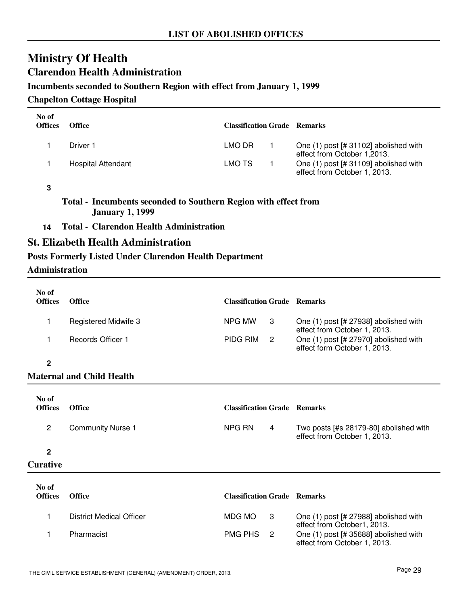### **Ministry Of Health Clarendon Health Administration**

### **Incumbents seconded to Southern Region with effect from January 1, 1999**

### **Chapelton Cottage Hospital**

| No of<br><b>Offices</b> | <b>Office</b>      | <b>Classification Grade Remarks</b> |                                                                       |
|-------------------------|--------------------|-------------------------------------|-----------------------------------------------------------------------|
|                         | Driver 1           | LMO DR                              | One (1) post [# 31102] abolished with<br>effect from October 1,2013.  |
|                         | Hospital Attendant | LMO TS                              | One (1) post [# 31109] abolished with<br>effect from October 1, 2013. |

#### **3**

### **Total - Incumbents seconded to Southern Region with effect from January 1, 1999**

**14 Total - Clarendon Health Administration**

### **St. Elizabeth Health Administration**

### **Posts Formerly Listed Under Clarendon Health Department**

### **Administration**

| No of<br><b>Offices</b> | <b>Office</b>        | <b>Classification Grade Remarks</b> |                |                                                                         |
|-------------------------|----------------------|-------------------------------------|----------------|-------------------------------------------------------------------------|
|                         | Registered Midwife 3 | NPG MW                              | 3              | One $(1)$ post [# 27938] abolished with<br>effect from October 1, 2013. |
|                         | Records Officer 1    | PIDG RIM                            | $\overline{2}$ | One (1) post [# 27970] abolished with<br>effect form October 1, 2013.   |
| ŋ                       |                      |                                     |                |                                                                         |

### **Maternal and Child Health**

| No of<br><b>Offices</b> | <b>Office</b>            | <b>Classification Grade Remarks</b> |   |                                                                        |
|-------------------------|--------------------------|-------------------------------------|---|------------------------------------------------------------------------|
| 2                       | <b>Community Nurse 1</b> | NPG RN                              | 4 | Two posts [#s 28179-80] abolished with<br>effect from October 1, 2013. |
| $\mathbf{2}$            |                          |                                     |   |                                                                        |
| <b>Curative</b>         |                          |                                     |   |                                                                        |

| No of<br><b>Offices</b> | <b>Office</b>            | <b>Classification Grade Remarks</b> |                                                                       |
|-------------------------|--------------------------|-------------------------------------|-----------------------------------------------------------------------|
|                         | District Medical Officer | MDG MO<br>- 3                       | One (1) post [# 27988] abolished with<br>effect from October1, 2013.  |
|                         | Pharmacist               | PMG PHS 2                           | One (1) post [# 35688] abolished with<br>effect from October 1, 2013. |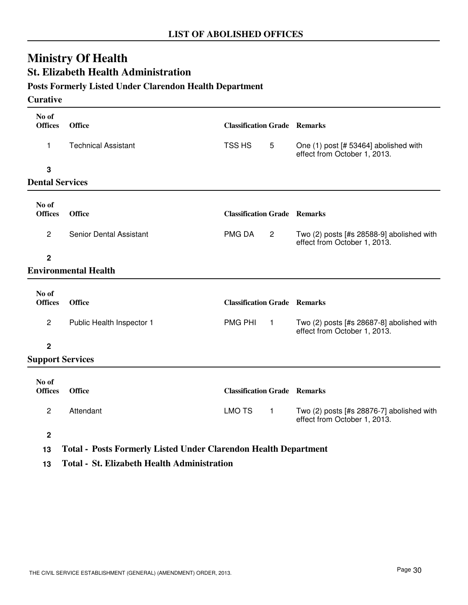# **St. Elizabeth Health Administration**

### **Posts Formerly Listed Under Clarendon Health Department**

#### **Curative**

| No of<br><b>Offices</b> | <b>Office</b>                  | <b>Classification Grade Remarks</b> |                 |                                                                           |
|-------------------------|--------------------------------|-------------------------------------|-----------------|---------------------------------------------------------------------------|
| 1                       | <b>Technical Assistant</b>     | TSS HS                              | $5\phantom{.0}$ | One (1) post [# 53464] abolished with<br>effect from October 1, 2013.     |
| 3                       |                                |                                     |                 |                                                                           |
| <b>Dental Services</b>  |                                |                                     |                 |                                                                           |
|                         |                                |                                     |                 |                                                                           |
| No of<br><b>Offices</b> | Office                         | <b>Classification Grade Remarks</b> |                 |                                                                           |
| $\mathbf{2}$            | <b>Senior Dental Assistant</b> | PMG DA                              | $\overline{2}$  | Two (2) posts [#s 28588-9] abolished with<br>effect from October 1, 2013. |
| $\overline{2}$          |                                |                                     |                 |                                                                           |
|                         | <b>Environmental Health</b>    |                                     |                 |                                                                           |
|                         |                                |                                     |                 |                                                                           |
| No of<br><b>Offices</b> | Office                         | <b>Classification Grade Remarks</b> |                 |                                                                           |
| $\overline{c}$          | Public Health Inspector 1      | <b>PMG PHI</b>                      | $\mathbf{1}$    | Two (2) posts [#s 28687-8] abolished with<br>effect from October 1, 2013. |
| $\overline{2}$          |                                |                                     |                 |                                                                           |
| <b>Support Services</b> |                                |                                     |                 |                                                                           |
|                         |                                |                                     |                 |                                                                           |
| No of<br><b>Offices</b> | <b>Office</b>                  | <b>Classification Grade Remarks</b> |                 |                                                                           |
| $\overline{c}$          | Attendant                      | <b>LMO TS</b>                       | $\mathbf{1}$    | Two (2) posts [#s 28876-7] abolished with<br>effect from October 1, 2013. |

**2**

**13 Total - Posts Formerly Listed Under Clarendon Health Department**

**13 Total - St. Elizabeth Health Administration**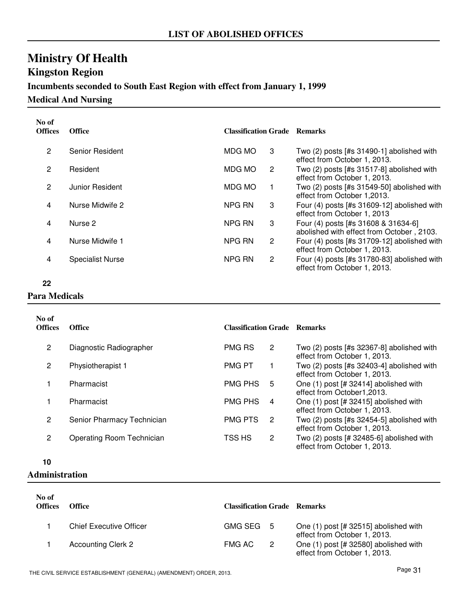# **Kingston Region**

### **Incumbents seconded to South East Region with effect from January 1, 1999**

**Medical And Nursing**

| No of<br><b>Offices</b> | <b>Office</b>           | <b>Classification Grade Remarks</b> |                       |                                                                                  |
|-------------------------|-------------------------|-------------------------------------|-----------------------|----------------------------------------------------------------------------------|
| 2                       | Senior Resident         | MDG MO                              | 3                     | Two $(2)$ posts [#s 31490-1] abolished with<br>effect from October 1, 2013.      |
| 2                       | Resident                | MDG MO                              | 2                     | Two $(2)$ posts [#s 31517-8] abolished with<br>effect from October 1, 2013.      |
| $\overline{2}$          | Junior Resident         | MDG MO                              |                       | Two (2) posts [#s 31549-50] abolished with<br>effect from October 1,2013.        |
| 4                       | Nurse Midwife 2         | NPG RN                              | 3                     | Four $(4)$ posts [#s 31609-12] abolished with<br>effect from October 1, 2013     |
| 4                       | Nurse 2                 | NPG RN                              | 3                     | Four (4) posts [#s 31608 & 31634-6]<br>abolished with effect from October, 2103. |
| 4                       | Nurse Midwife 1         | NPG RN                              | $\mathbf{2}^{\prime}$ | Four $(4)$ posts [#s 31709-12] abolished with<br>effect from October 1, 2013.    |
| 4                       | <b>Specialist Nurse</b> | NPG RN                              | $\mathbf{2}^{\prime}$ | Four $(4)$ posts [#s 31780-83] abolished with<br>effect from October 1, 2013.    |

**22**

### **Para Medicals**

| No of<br><b>Offices</b> | <b>Office</b>              | <b>Classification Grade Remarks</b> |    |                                                                              |
|-------------------------|----------------------------|-------------------------------------|----|------------------------------------------------------------------------------|
| 2                       | Diagnostic Radiographer    | <b>PMG RS</b>                       | 2  | Two $(2)$ posts [#s 32367-8] abolished with<br>effect from October 1, 2013.  |
| 2                       | Physiotherapist 1          | <b>PMG PT</b>                       |    | Two (2) posts [#s 32403-4] abolished with<br>effect from October 1, 2013.    |
|                         | Pharmacist                 | <b>PMG PHS</b>                      | 5  | One (1) post [# 32414] abolished with<br>effect from October1,2013.          |
|                         | Pharmacist                 | <b>PMG PHS</b>                      | 4  | One (1) post [# 32415] abolished with<br>effect from October 1, 2013.        |
| 2                       | Senior Pharmacy Technician | <b>PMG PTS</b>                      | -2 | Two $(2)$ posts [#s 32454-5] abolished with<br>effect from October 1, 2013.  |
| 2                       | Operating Room Technician  | TSS HS                              | 2  | Two $(2)$ posts $[# 32485-6]$ abolished with<br>effect from October 1, 2013. |

**10**

#### **Administration**

| No of<br><b>Offices</b> | <b>Office</b>                  | <b>Classification Grade Remarks</b> |                                                                       |
|-------------------------|--------------------------------|-------------------------------------|-----------------------------------------------------------------------|
|                         | <b>Chief Executive Officer</b> | GMG SEG 5                           | One (1) post [# 32515] abolished with<br>effect from October 1, 2013. |
|                         | <b>Accounting Clerk 2</b>      | FMG AC<br>$\overline{2}$            | One (1) post [# 32580] abolished with<br>effect from October 1, 2013. |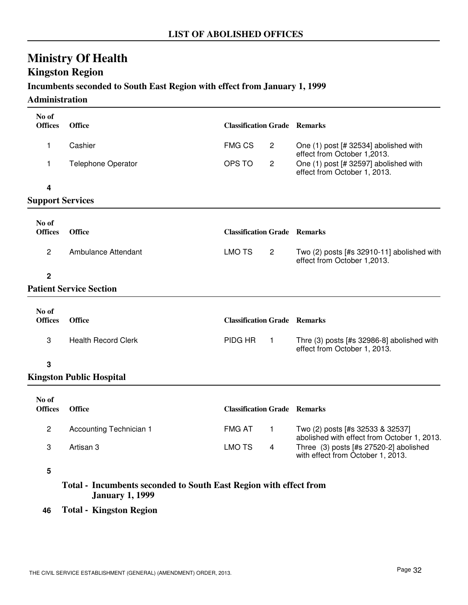### **Kingston Region**

### **Incumbents seconded to South East Region with effect from January 1, 1999**

**Administration**

| No of<br><b>Offices</b> | <b>Office</b>                   | <b>Classification Grade Remarks</b> |                                                                                 |
|-------------------------|---------------------------------|-------------------------------------|---------------------------------------------------------------------------------|
| 1                       | Cashier                         | <b>FMG CS</b><br>$\overline{2}$     | One (1) post [# 32534] abolished with<br>effect from October 1,2013.            |
| 1                       | <b>Telephone Operator</b>       | OPS TO<br>$\overline{2}$            | One (1) post [# 32597] abolished with<br>effect from October 1, 2013.           |
| 4                       |                                 |                                     |                                                                                 |
| <b>Support Services</b> |                                 |                                     |                                                                                 |
| No of                   |                                 |                                     |                                                                                 |
| <b>Offices</b>          | <b>Office</b>                   | <b>Classification Grade Remarks</b> |                                                                                 |
| $\overline{c}$          | Ambulance Attendant             | <b>LMO TS</b><br>$\overline{2}$     | Two $(2)$ posts [#s 32910-11] abolished with<br>effect from October 1,2013.     |
| $\overline{2}$          |                                 |                                     |                                                                                 |
|                         | <b>Patient Service Section</b>  |                                     |                                                                                 |
| No of<br><b>Offices</b> | <b>Office</b>                   | <b>Classification Grade Remarks</b> |                                                                                 |
|                         |                                 |                                     |                                                                                 |
| 3                       | <b>Health Record Clerk</b>      | PIDG HR<br>$\overline{1}$           | Thre (3) posts [#s 32986-8] abolished with<br>effect from October 1, 2013.      |
| 3                       |                                 |                                     |                                                                                 |
|                         | <b>Kingston Public Hospital</b> |                                     |                                                                                 |
| No of<br><b>Offices</b> | <b>Office</b>                   | <b>Classification Grade Remarks</b> |                                                                                 |
| $\mathbf{2}$            | Accounting Technician 1         | <b>FMG AT</b><br>$\mathbf{1}$       | Two (2) posts [#s 32533 & 32537]<br>abolished with effect from October 1, 2013. |
| 3                       | Artisan 3                       | <b>LMO TS</b><br>4                  | Three (3) posts [#s 27520-2] abolished<br>with effect from October 1, 2013.     |
|                         |                                 |                                     |                                                                                 |

**5**

**Total - Incumbents seconded to South East Region with effect from January 1, 1999**

**46 Total - Kingston Region**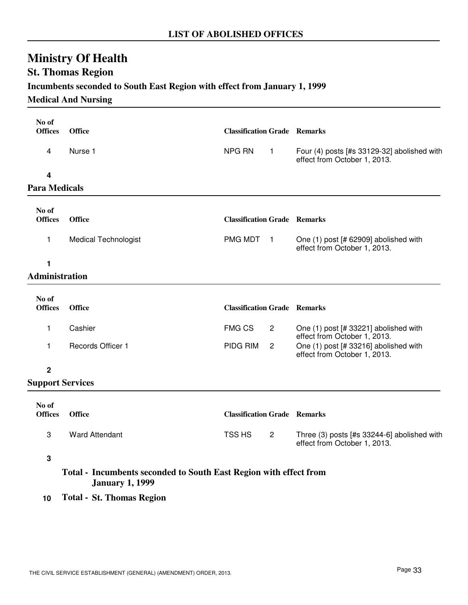### **St. Thomas Region**

### **Incumbents seconded to South East Region with effect from January 1, 1999**

### **Medical And Nursing**

| No of<br><b>Offices</b> | <b>Office</b>               | <b>Classification Grade Remarks</b> |                  |                                                                             |
|-------------------------|-----------------------------|-------------------------------------|------------------|-----------------------------------------------------------------------------|
| 4                       | Nurse 1                     | NPG RN                              | $\mathbf{1}$     | Four (4) posts [#s 33129-32] abolished with<br>effect from October 1, 2013. |
| 4                       |                             |                                     |                  |                                                                             |
| <b>Para Medicals</b>    |                             |                                     |                  |                                                                             |
| No of                   |                             |                                     |                  |                                                                             |
| <b>Offices</b>          | Office                      | <b>Classification Grade Remarks</b> |                  |                                                                             |
| 1                       | <b>Medical Technologist</b> | PMG MDT                             | $\blacksquare$ 1 | One (1) post [# 62909] abolished with<br>effect from October 1, 2013.       |
| 1                       |                             |                                     |                  |                                                                             |
| Administration          |                             |                                     |                  |                                                                             |
| No of                   |                             |                                     |                  |                                                                             |
| <b>Offices</b>          | <b>Office</b>               | <b>Classification Grade Remarks</b> |                  |                                                                             |
| 1                       | Cashier                     | <b>FMG CS</b>                       | $\overline{c}$   | One (1) post [# 33221] abolished with<br>effect from October 1, 2013.       |
| 1                       | Records Officer 1           | PIDG RIM                            | $\overline{c}$   | One (1) post [# 33216] abolished with<br>effect from October 1, 2013.       |
| $\overline{2}$          |                             |                                     |                  |                                                                             |
| <b>Support Services</b> |                             |                                     |                  |                                                                             |
| No of                   |                             |                                     |                  |                                                                             |
| <b>Offices</b>          | <b>Office</b>               | <b>Classification Grade Remarks</b> |                  |                                                                             |
| 3                       | <b>Ward Attendant</b>       | TSS HS                              | $\overline{2}$   | Three (3) posts [#s 33244-6] abolished with<br>effect from October 1, 2013. |

**3**

**Total - Incumbents seconded to South East Region with effect from January 1, 1999**

**10 Total - St. Thomas Region**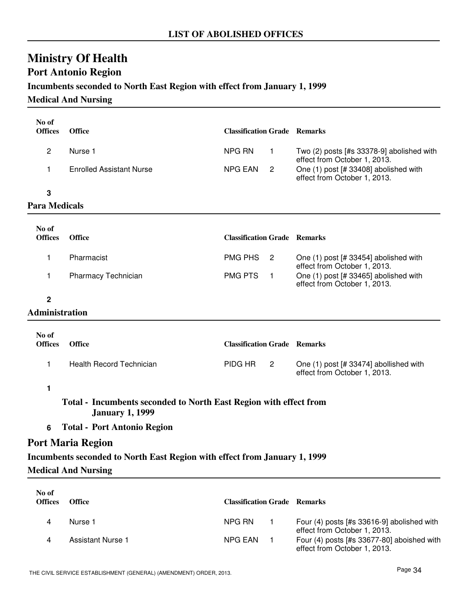## **Port Antonio Region**

### **Incumbents seconded to North East Region with effect from January 1, 1999**

### **Medical And Nursing**

| No of<br><b>Offices</b> | <b>Office</b>                                                                               | <b>Classification Grade Remarks</b> |                |                                                                                                       |
|-------------------------|---------------------------------------------------------------------------------------------|-------------------------------------|----------------|-------------------------------------------------------------------------------------------------------|
| $\overline{c}$          | Nurse 1                                                                                     | <b>NPG RN</b>                       | $\mathbf{1}$   | Two (2) posts [#s 33378-9] abolished with                                                             |
| 1                       | <b>Enrolled Assistant Nurse</b>                                                             | <b>NPG EAN</b>                      | $\overline{2}$ | effect from October 1, 2013.<br>One (1) post [# 33408] abolished with<br>effect from October 1, 2013. |
| 3                       |                                                                                             |                                     |                |                                                                                                       |
| <b>Para Medicals</b>    |                                                                                             |                                     |                |                                                                                                       |
| No of<br><b>Offices</b> | <b>Office</b>                                                                               | <b>Classification Grade Remarks</b> |                |                                                                                                       |
| 1.                      | Pharmacist                                                                                  | <b>PMG PHS</b>                      | $\overline{2}$ | One (1) post [# 33454] abolished with                                                                 |
| 1                       | Pharmacy Technician                                                                         | <b>PMG PTS</b><br>$\overline{1}$    |                | effect from October 1, 2013.<br>One (1) post [# 33465] abolished with<br>effect from October 1, 2013. |
| $\mathbf 2$             |                                                                                             |                                     |                |                                                                                                       |
| <b>Administration</b>   |                                                                                             |                                     |                |                                                                                                       |
| No of<br><b>Offices</b> | <b>Office</b>                                                                               | <b>Classification Grade Remarks</b> |                |                                                                                                       |
| 1                       | <b>Health Record Technician</b>                                                             | PIDG HR                             | $\mathbf{2}$   | One (1) post [# 33474] abollished with<br>effect from October 1, 2013.                                |
| 1                       |                                                                                             |                                     |                |                                                                                                       |
|                         | Total - Incumbents seconded to North East Region with effect from<br><b>January 1, 1999</b> |                                     |                |                                                                                                       |
| 6                       | <b>Total - Port Antonio Region</b>                                                          |                                     |                |                                                                                                       |
|                         | <b>Port Maria Region</b>                                                                    |                                     |                |                                                                                                       |
|                         | Incumbents seconded to North East Region with effect from January 1, 1999                   |                                     |                |                                                                                                       |
|                         | <b>Medical And Nursing</b>                                                                  |                                     |                |                                                                                                       |
| No of<br><b>Offices</b> | <b>Office</b>                                                                               | <b>Classification Grade Remarks</b> |                |                                                                                                       |
| 4                       | Nurse 1                                                                                     | NPG RN                              | $\mathbf{1}$   | Four (4) posts [#s 33616-9] abolished with<br>effect from October 1, 2013.                            |
| 4                       | <b>Assistant Nurse 1</b>                                                                    | <b>NPG EAN</b>                      |                | Four (4) posts [#s 33677-80] aboished with                                                            |

4 Assistant Nurse 1 NPG EAN 1 Four (4) posts [#s 33677-80] aboished with

effect from October 1, 2013.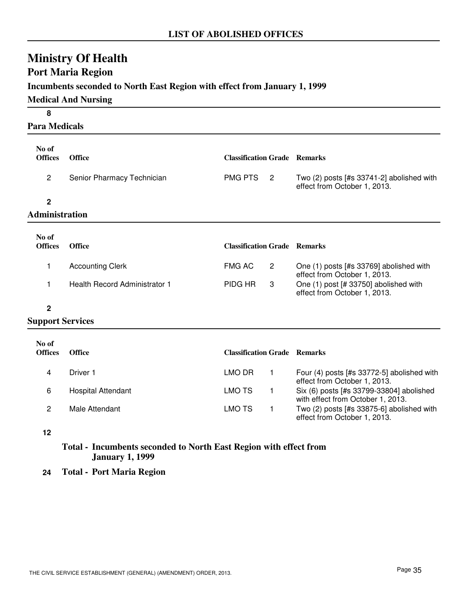### **Port Maria Region**

### **Incumbents seconded to North East Region with effect from January 1, 1999**

### **Medical And Nursing**

| 8                       |                                      |                                     |                |                                                                               |
|-------------------------|--------------------------------------|-------------------------------------|----------------|-------------------------------------------------------------------------------|
| <b>Para Medicals</b>    |                                      |                                     |                |                                                                               |
| No of<br><b>Offices</b> | <b>Office</b>                        | <b>Classification Grade Remarks</b> |                |                                                                               |
| $\overline{c}$          | Senior Pharmacy Technician           | <b>PMG PTS</b>                      | $\overline{2}$ | Two $(2)$ posts [#s 33741-2] abolished with<br>effect from October 1, 2013.   |
| $\mathbf 2$             |                                      |                                     |                |                                                                               |
| <b>Administration</b>   |                                      |                                     |                |                                                                               |
| No of                   |                                      |                                     |                |                                                                               |
| <b>Offices</b>          | <b>Office</b>                        | <b>Classification Grade Remarks</b> |                |                                                                               |
| 1                       | <b>Accounting Clerk</b>              | <b>FMG AC</b>                       | $\overline{2}$ | One (1) posts [#s 33769] abolished with<br>effect from October 1, 2013.       |
| 1                       | <b>Health Record Administrator 1</b> | PIDG HR                             | 3              | One (1) post [# 33750] abolished with<br>effect from October 1, 2013.         |
| $\mathbf 2$             |                                      |                                     |                |                                                                               |
| <b>Support Services</b> |                                      |                                     |                |                                                                               |
| No of<br><b>Offices</b> | <b>Office</b>                        | <b>Classification Grade Remarks</b> |                |                                                                               |
| 4                       | Driver 1                             | <b>LMO DR</b>                       | $\mathbf{1}$   | Four $(4)$ posts [#s 33772-5] abolished with<br>effect from October 1, 2013.  |
| 6                       | <b>Hospital Attendant</b>            | <b>LMO TS</b>                       | 1              | Six (6) posts [#s 33799-33804] abolished<br>with effect from October 1, 2013. |
| 2                       | Male Attendant                       | <b>LMO TS</b>                       | $\mathbf{1}$   | Two (2) posts [#s 33875-6] abolished with                                     |

**12**

### **Total - Incumbents seconded to North East Region with effect from January 1, 1999**

**24 Total - Port Maria Region**

effect from October 1, 2013.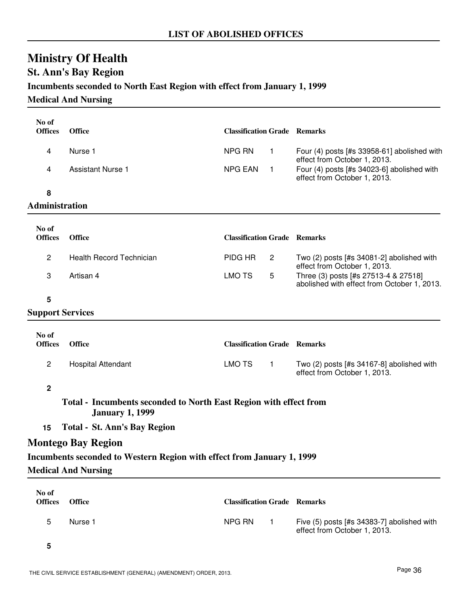### **St. Ann's Bay Region**

### **Incumbents seconded to North East Region with effect from January 1, 1999**

**Medical And Nursing**

| No of<br><b>Offices</b> | <b>Office</b>                                                                               | <b>Classification Grade Remarks</b> |                                                                                     |
|-------------------------|---------------------------------------------------------------------------------------------|-------------------------------------|-------------------------------------------------------------------------------------|
| 4                       | Nurse 1                                                                                     | NPG RN<br>$\mathbf{1}$              | Four (4) posts [#s 33958-61] abolished with                                         |
| 4                       | <b>Assistant Nurse 1</b>                                                                    | <b>NPG EAN</b><br>$\overline{1}$    | effect from October 1, 2013.<br>Four (4) posts [#s 34023-6] abolished with          |
|                         |                                                                                             |                                     | effect from October 1, 2013.                                                        |
| 8<br>Administration     |                                                                                             |                                     |                                                                                     |
|                         |                                                                                             |                                     |                                                                                     |
| No of<br><b>Offices</b> | <b>Office</b>                                                                               | <b>Classification Grade Remarks</b> |                                                                                     |
| $\overline{c}$          | <b>Health Record Technician</b>                                                             | PIDG HR<br>2                        | Two $(2)$ posts [#s 34081-2] abolished with<br>effect from October 1, 2013.         |
| 3                       | Artisan 4                                                                                   | <b>LMO TS</b><br>5                  | Three (3) posts [#s 27513-4 & 27518]<br>abolished with effect from October 1, 2013. |
| 5                       |                                                                                             |                                     |                                                                                     |
| <b>Support Services</b> |                                                                                             |                                     |                                                                                     |
| No of                   |                                                                                             |                                     |                                                                                     |
| <b>Offices</b>          | <b>Office</b>                                                                               | <b>Classification Grade Remarks</b> |                                                                                     |
| $\overline{c}$          | <b>Hospital Attendant</b>                                                                   | <b>LMO TS</b><br>$\overline{1}$     | Two $(2)$ posts [#s 34167-8] abolished with<br>effect from October 1, 2013.         |
| $\mathbf 2$             |                                                                                             |                                     |                                                                                     |
|                         | Total - Incumbents seconded to North East Region with effect from<br><b>January 1, 1999</b> |                                     |                                                                                     |
| 15                      | <b>Total - St. Ann's Bay Region</b>                                                         |                                     |                                                                                     |
|                         | <b>Montego Bay Region</b>                                                                   |                                     |                                                                                     |
|                         | Incumbents seconded to Western Region with effect from January 1, 1999                      |                                     |                                                                                     |
|                         | <b>Medical And Nursing</b>                                                                  |                                     |                                                                                     |
| No of<br><b>Offices</b> | <b>Office</b>                                                                               | <b>Classification Grade Remarks</b> |                                                                                     |
| 5                       | Nurse 1                                                                                     | NPG RN<br>$\mathbf{1}$              | Five (5) posts [#s 34383-7] abolished with<br>effect from October 1, 2013.          |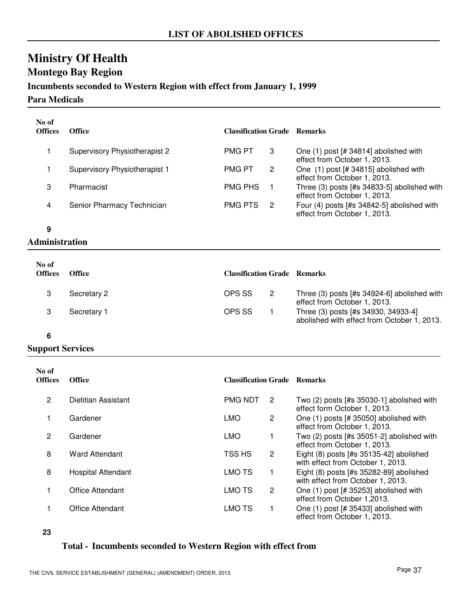## **Montego Bay Region**

### **Incumbents seconded to Western Region with effect from January 1, 1999**

#### **Para Medicals**

| No of<br><b>Offices</b> | Office                               | <b>Classification Grade Remarks</b> |   |                                                                             |
|-------------------------|--------------------------------------|-------------------------------------|---|-----------------------------------------------------------------------------|
|                         | <b>Supervisory Physiotherapist 2</b> | <b>PMG PT</b>                       | 3 | One (1) post [# 34814] abolished with<br>effect from October 1, 2013.       |
|                         | Supervisory Physiotherapist 1        | <b>PMG PT</b>                       | 2 | One (1) post [# 34815] abolished with<br>effect from October 1, 2013.       |
| З                       | Pharmacist                           | <b>PMG PHS</b>                      |   | Three (3) posts [#s 34833-5] abolished with<br>effect from October 1, 2013. |
| 4                       | Senior Pharmacy Technician           | <b>PMG PTS</b>                      | 2 | Four (4) posts [#s 34842-5] abolished with<br>effect from October 1, 2013.  |

**9**

### **Administration**

| No of<br><b>Offices</b> | <b>Office</b> | <b>Classification Grade Remarks</b> |                                                                                    |
|-------------------------|---------------|-------------------------------------|------------------------------------------------------------------------------------|
|                         | Secretary 2   | OPS SS                              | Three (3) posts [#s 34924-6] abolished with<br>effect from October 1, 2013.        |
|                         | Secretary 1   | OPS SS                              | Three (3) posts [#s 34930, 34933-4]<br>abolished with effect from October 1, 2013. |

**6**

### **Support Services**

| No of<br><b>Offices</b> | <b>Office</b>              | <b>Classification Grade Remarks</b> |              |                                                                                |
|-------------------------|----------------------------|-------------------------------------|--------------|--------------------------------------------------------------------------------|
| $\overline{2}$          | <b>Dietitian Assistant</b> | <b>PMG NDT</b>                      | 2            | Two $(2)$ posts [#s 35030-1] abolished with<br>effect form October 1, 2013.    |
|                         | Gardener                   | <b>LMO</b>                          | $\mathbf{2}$ | One (1) posts [# 35050] abolished with<br>effect from October 1, 2013.         |
| 2                       | Gardener                   | <b>LMO</b>                          |              | Two (2) posts [#s 35051-2] abolished with<br>effect from October 1, 2013.      |
| 8                       | <b>Ward Attendant</b>      | TSS HS                              | 2            | Eight $(8)$ posts [#s 35135-42] abolished<br>with effect from October 1, 2013. |
| 8                       | Hospital Attendant         | LMO TS                              |              | Eight (8) posts [#s 35282-89] abolished<br>with effect from October 1, 2013.   |
|                         | Office Attendant           | LMO TS                              | 2            | One (1) post [# 35253] abolished with<br>effect from October 1,2013.           |
|                         | <b>Office Attendant</b>    | LMO TS                              |              | One (1) post [# 35433] abolished with<br>effect from October 1, 2013.          |

**<sup>23</sup>**

### **Total - Incumbents seconded to Western Region with effect from**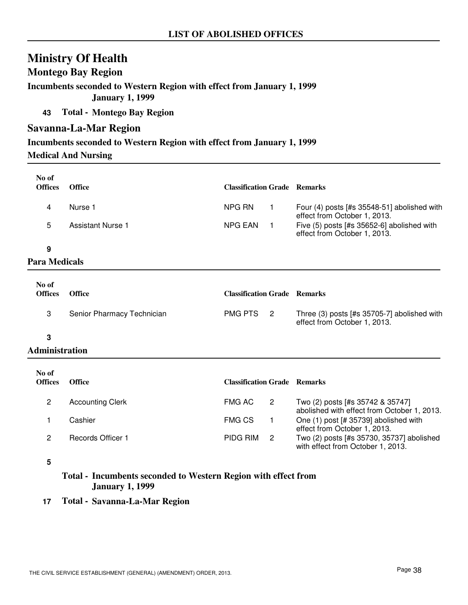### **Montego Bay Region**

**Incumbents seconded to Western Region with effect from January 1, 1999 January 1, 1999**

**43 Total - Montego Bay Region**

### **Savanna-La-Mar Region**

### **Incumbents seconded to Western Region with effect from January 1, 1999**

**Medical And Nursing**

| No of<br><b>Offices</b> | <b>Office</b>     | <b>Classification Grade</b> Remarks |                                                                             |
|-------------------------|-------------------|-------------------------------------|-----------------------------------------------------------------------------|
|                         | Nurse 1           | NPG RN                              | Four (4) posts [#s 35548-51] abolished with<br>effect from October 1, 2013. |
|                         | Assistant Nurse 1 | NPG EAN                             | Five (5) posts [#s 35652-6] abolished with<br>effect from October 1, 2013.  |
| Û                       |                   |                                     |                                                                             |

**9**

### **Para Medicals**

| No of<br><b>Offices</b> | <b>Office</b>              | <b>Classification Grade Remarks</b> |                                                                             |
|-------------------------|----------------------------|-------------------------------------|-----------------------------------------------------------------------------|
|                         | Senior Pharmacy Technician | PMG PTS 2                           | Three (3) posts [#s 35705-7] abolished with<br>effect from October 1, 2013. |
|                         |                            |                                     |                                                                             |

**3**

### **Administration**

| No of<br><b>Offices</b> | Office                  | <b>Classification Grade Remarks</b> |                                                                                 |
|-------------------------|-------------------------|-------------------------------------|---------------------------------------------------------------------------------|
|                         | <b>Accounting Clerk</b> | FMG AC                              | Two (2) posts [#s 35742 & 35747]<br>abolished with effect from October 1, 2013. |
|                         | Cashier                 | <b>FMG CS</b>                       | One (1) post [# 35739] abolished with<br>effect from October 1, 2013.           |
| 2                       | Records Officer 1       | PIDG RIM                            | Two (2) posts [#s 35730, 35737] abolished<br>with effect from October 1, 2013.  |

**5**

### **Total - Incumbents seconded to Western Region with effect from January 1, 1999**

**17 Total - Savanna-La-Mar Region**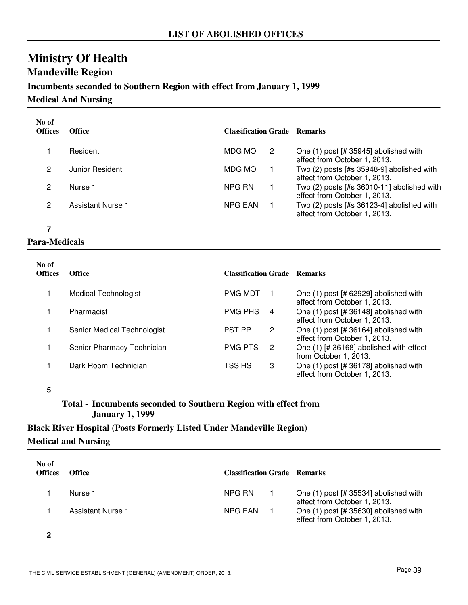# **Ministry Of Health Mandeville Region**

### **Incumbents seconded to Southern Region with effect from January 1, 1999**

**Medical And Nursing**

| No of<br><b>Offices</b> | <b>Office</b>     | <b>Classification Grade Remarks</b> |                                                                              |
|-------------------------|-------------------|-------------------------------------|------------------------------------------------------------------------------|
|                         | Resident          | MDG MO<br>2                         | One (1) post [# 35945] abolished with<br>effect from October 1, 2013.        |
| 2                       | Junior Resident   | MDG MO                              | Two (2) posts [#s 35948-9] abolished with<br>effect from October 1, 2013.    |
| 2                       | Nurse 1           | NPG RN                              | Two $(2)$ posts [#s 36010-11] abolished with<br>effect from October 1, 2013. |
| 0                       | Assistant Nurse 1 | NPG EAN                             | Two $(2)$ posts [#s 36123-4] abolished with<br>effect from October 1, 2013.  |

**7**

### **Para-Medicals**

| No of<br><b>Offices</b> | <b>Office</b>               | <b>Classification Grade Remarks</b> |                |                                                                       |
|-------------------------|-----------------------------|-------------------------------------|----------------|-----------------------------------------------------------------------|
|                         | <b>Medical Technologist</b> | <b>PMG MDT</b>                      |                | One (1) post [# 62929] abolished with<br>effect from October 1, 2013. |
|                         | Pharmacist                  | <b>PMG PHS</b>                      | $\overline{4}$ | One (1) post [# 36148] abolished with<br>effect from October 1, 2013. |
|                         | Senior Medical Technologist | <b>PST PP</b>                       | 2              | One (1) post [# 36164] abolished with<br>effect from October 1, 2013. |
|                         | Senior Pharmacy Technician  | <b>PMG PTS</b>                      | 2              | One (1) [# 36168] abolished with effect<br>from October 1, 2013.      |
|                         | Dark Room Technician        | TSS HS                              | 3              | One (1) post [# 36178] abolished with<br>effect from October 1, 2013. |

**5**

### **Total - Incumbents seconded to Southern Region with effect from January 1, 1999**

# **Black River Hospital (Posts Formerly Listed Under Mandeville Region)**

### **Medical and Nursing**

| No of<br><b>Offices</b> | <b>Office</b>     | <b>Classification Grade Remarks</b> |                                                                         |
|-------------------------|-------------------|-------------------------------------|-------------------------------------------------------------------------|
|                         | Nurse 1           | NPG RN                              | One $(1)$ post [# 35534] abolished with<br>effect from October 1, 2013. |
|                         | Assistant Nurse 1 | NPG EAN                             | One (1) post [# 35630] abolished with<br>effect from October 1, 2013.   |

**2**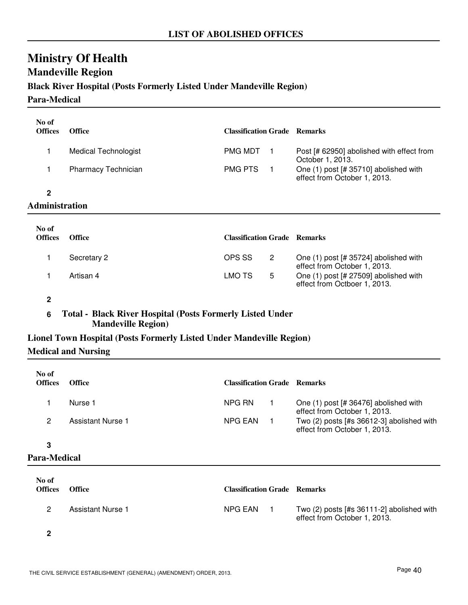# **Ministry Of Health Mandeville Region**

### **Black River Hospital (Posts Formerly Listed Under Mandeville Region)**

**Para-Medical**

| No of<br><b>Offices</b> | <b>Office</b>        | <b>Classification Grade Remarks</b> |                |                                                                       |
|-------------------------|----------------------|-------------------------------------|----------------|-----------------------------------------------------------------------|
| 1                       | Medical Technologist | <b>PMG MDT</b>                      |                | Post [# 62950] abolished with effect from<br>October 1, 2013.         |
| 1                       | Pharmacy Technician  | <b>PMG PTS</b>                      | $\blacksquare$ | One (1) post [# 35710] abolished with<br>effect from October 1, 2013. |
| $\mathbf{2}$            |                      |                                     |                |                                                                       |
| Administration          |                      |                                     |                |                                                                       |
| No of<br><b>Offices</b> | <b>Office</b>        | <b>Classification Grade Remarks</b> |                |                                                                       |
|                         | Secretary 2          | OPS SS                              | $\overline{2}$ | One (1) post [# 35724] abolished with<br>effect from October 1, 2013. |
|                         | Artisan 4            | LMO TS                              | 5              | One (1) post [# 27509] abolished with<br>effect from Octboer 1, 2013. |

**2**

### **6 Total - Black River Hospital (Posts Formerly Listed Under Mandeville Region)**

### **Lionel Town Hospital (Posts Formerly Listed Under Mandeville Region)**

**Medical and Nursing**

| No of<br><b>Offices</b> | <b>Office</b>     | <b>Classification Grade Remarks</b> |                                                                           |
|-------------------------|-------------------|-------------------------------------|---------------------------------------------------------------------------|
|                         | Nurse 1           | NPG RN                              | One $(1)$ post [# 36476] abolished with<br>effect from October 1, 2013.   |
|                         | Assistant Nurse 1 | NPG EAN                             | Two (2) posts [#s 36612-3] abolished with<br>effect from October 1, 2013. |

### **3**

### **Para-Medical**

| No of<br><b>Offices</b> | <b>Office</b>     | <b>Classification Grade Remarks</b> |                                                                               |
|-------------------------|-------------------|-------------------------------------|-------------------------------------------------------------------------------|
|                         | Assistant Nurse 1 | NPG EAN                             | Two $(2)$ posts $[#s 36111-2]$ abolished with<br>effect from October 1, 2013. |

**2**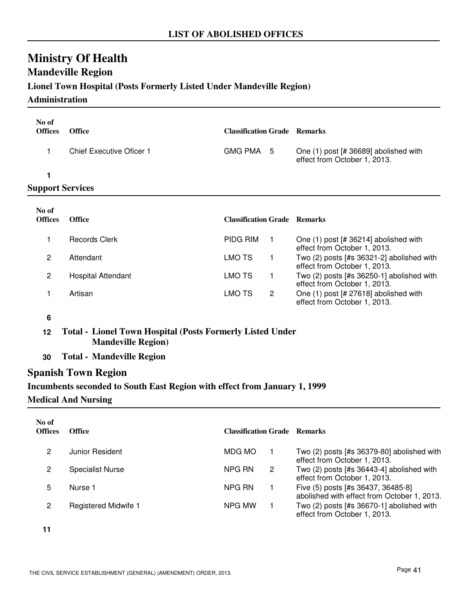# **Ministry Of Health Mandeville Region**

### **Lionel Town Hospital (Posts Formerly Listed Under Mandeville Region)**

#### **Administration**

| No of<br><b>Offices</b> | <b>Office</b>            | <b>Classification Grade Remarks</b> |                                                                       |
|-------------------------|--------------------------|-------------------------------------|-----------------------------------------------------------------------|
|                         | Chief Executive Oficer 1 | GMG PMA 5                           | One (1) post [# 36689] abolished with<br>effect from October 1, 2013. |
|                         |                          |                                     |                                                                       |
| <b>Support Services</b> |                          |                                     |                                                                       |
|                         |                          |                                     |                                                                       |

| No of<br><b>Offices</b> | <b>Office</b>      | <b>Classification Grade Remarks</b> |   |                                                                             |
|-------------------------|--------------------|-------------------------------------|---|-----------------------------------------------------------------------------|
|                         | Records Clerk      | <b>PIDG RIM</b>                     |   | One (1) post [# 36214] abolished with<br>effect from October 1, 2013.       |
| 2                       | Attendant          | LMO TS                              |   | Two (2) posts [#s 36321-2] abolished with<br>effect from October 1, 2013.   |
| 2                       | Hospital Attendant | LMO TS                              |   | Two $(2)$ posts [#s 36250-1] abolished with<br>effect from October 1, 2013. |
|                         | Artisan            | LMO TS                              | 2 | One (1) post [# 27618] abolished with<br>effect from October 1, 2013.       |

#### **6**

**12 Total - Lionel Town Hospital (Posts Formerly Listed Under Mandeville Region)**

**30 Total - Mandeville Region**

### **Spanish Town Region**

# **Incumbents seconded to South East Region with effect from January 1, 1999**

### **Medical And Nursing**

| No of<br><b>Offices</b> | Office                      | <b>Classification Grade Remarks</b> |   |                                                                                   |
|-------------------------|-----------------------------|-------------------------------------|---|-----------------------------------------------------------------------------------|
| 2                       | Junior Resident             | MDG MO                              |   | Two (2) posts [#s 36379-80] abolished with<br>effect from October 1, 2013.        |
| 2                       | <b>Specialist Nurse</b>     | NPG RN                              | 2 | Two (2) posts [#s 36443-4] abolished with<br>effect from October 1, 2013.         |
| 5                       | Nurse 1                     | NPG RN                              |   | Five (5) posts [#s 36437, 36485-8]<br>abolished with effect from October 1, 2013. |
| 2                       | <b>Registered Midwife 1</b> | NPG MW                              |   | Two $(2)$ posts [#s 36670-1] abolished with<br>effect from October 1, 2013.       |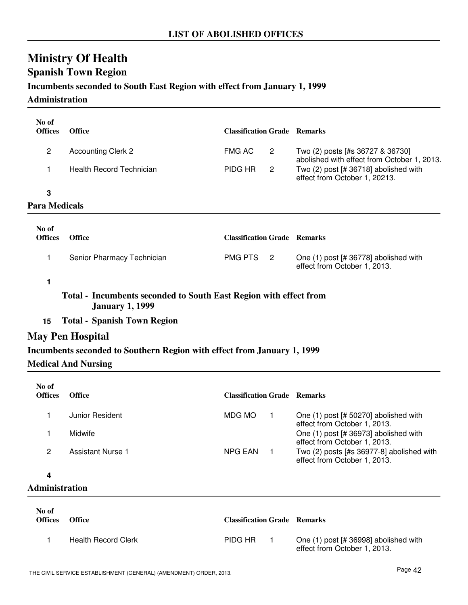# **Spanish Town Region**

### **Incumbents seconded to South East Region with effect from January 1, 1999**

#### **Administration**

| No of<br><b>Offices</b> | <b>Office</b>                                                                               | <b>Classification Grade Remarks</b> |                |                                                                                 |
|-------------------------|---------------------------------------------------------------------------------------------|-------------------------------------|----------------|---------------------------------------------------------------------------------|
| $\overline{c}$          | <b>Accounting Clerk 2</b>                                                                   | <b>FMG AC</b>                       | $\overline{c}$ | Two (2) posts [#s 36727 & 36730]<br>abolished with effect from October 1, 2013. |
| 1                       | <b>Health Record Technician</b>                                                             | PIDG HR                             | 2              | Two $(2)$ post [# 36718] abolished with<br>effect from October 1, 20213.        |
| 3                       |                                                                                             |                                     |                |                                                                                 |
| <b>Para Medicals</b>    |                                                                                             |                                     |                |                                                                                 |
| No of<br><b>Offices</b> | <b>Office</b>                                                                               | <b>Classification Grade Remarks</b> |                |                                                                                 |
| 1                       | Senior Pharmacy Technician                                                                  | <b>PMG PTS</b>                      | $\mathbf{2}$   | One (1) post [# 36778] abolished with<br>effect from October 1, 2013.           |
| 1                       |                                                                                             |                                     |                |                                                                                 |
|                         | Total - Incumbents seconded to South East Region with effect from<br><b>January 1, 1999</b> |                                     |                |                                                                                 |
| 15                      | <b>Total - Spanish Town Region</b>                                                          |                                     |                |                                                                                 |
|                         | <b>May Pen Hospital</b>                                                                     |                                     |                |                                                                                 |
|                         | Incumbents seconded to Southern Region with effect from January 1, 1999                     |                                     |                |                                                                                 |
|                         | <b>Medical And Nursing</b>                                                                  |                                     |                |                                                                                 |
| No of                   |                                                                                             |                                     |                |                                                                                 |
| <b>Offices</b>          | <b>Office</b>                                                                               | <b>Classification Grade Remarks</b> |                |                                                                                 |
| 1                       | Junior Resident                                                                             | <b>MDG MO</b>                       | $\mathbf{1}$   | One (1) post [# 50270] abolished with<br>effect from October 1, 2013.           |
| 1                       | Midwife                                                                                     |                                     |                | One (1) post [# 36973] abolished with<br>effect from October 1, 2013.           |
| $\overline{c}$          | <b>Assistant Nurse 1</b>                                                                    | <b>NPG EAN</b>                      | $\mathbf{1}$   | Two (2) posts [#s 36977-8] abolished with<br>effect from October 1, 2013.       |
| 4                       |                                                                                             |                                     |                |                                                                                 |
| <b>Administration</b>   |                                                                                             |                                     |                |                                                                                 |
|                         |                                                                                             |                                     |                |                                                                                 |

| No of<br><b>Offices</b> | <b>Office</b>              | <b>Classification Grade Remarks</b> |                                                                       |
|-------------------------|----------------------------|-------------------------------------|-----------------------------------------------------------------------|
|                         | <b>Health Record Clerk</b> | PIDG HR                             | One (1) post [# 36998] abolished with<br>effect from October 1, 2013. |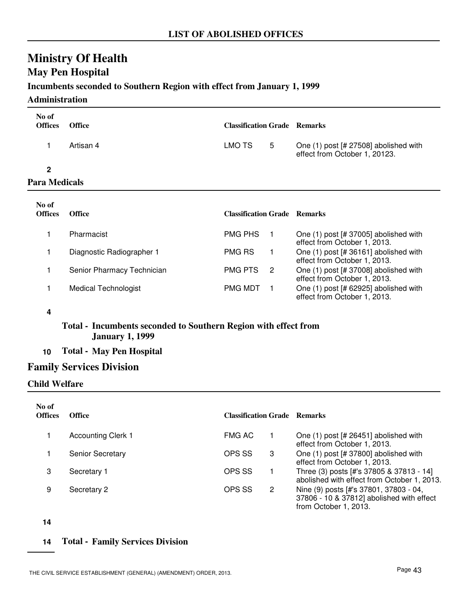### **May Pen Hospital**

### **Incumbents seconded to Southern Region with effect from January 1, 1999**

### **Administration**

| No of<br><b>Offices</b>   | <b>Office</b>             | <b>Classification Grade Remarks</b> |                                                                          |
|---------------------------|---------------------------|-------------------------------------|--------------------------------------------------------------------------|
|                           | Artisan 4                 | 5<br>LMO TS                         | One $(1)$ post [# 27508] abolished with<br>effect from October 1, 20123. |
| 2<br><b>Para Medicals</b> |                           |                                     |                                                                          |
| No of<br><b>Offices</b>   | <b>Office</b>             | <b>Classification Grade Remarks</b> |                                                                          |
|                           | Pharmacist                | <b>PMG PHS</b><br>1.                | One $(1)$ post [# 37005] abolished with<br>effect from October 1, 2013.  |
|                           | Diagnostic Radiographer 1 | <b>PMG RS</b><br>1                  | One (1) post [# 36161] abolished with<br>effect from October 1, 2013     |

| No of<br>Offices | <b>Office</b>               | <b>Classification Grade Remarks</b> |   |                                                                       |
|------------------|-----------------------------|-------------------------------------|---|-----------------------------------------------------------------------|
|                  | Pharmacist                  | <b>PMG PHS</b>                      |   | One (1) post [# 37005] abolished with<br>effect from October 1, 2013. |
|                  | Diagnostic Radiographer 1   | <b>PMG RS</b>                       |   | One (1) post [# 36161] abolished with<br>effect from October 1, 2013. |
|                  | Senior Pharmacy Technician  | <b>PMG PTS</b>                      | 2 | One (1) post [# 37008] abolished with<br>effect from October 1, 2013. |
|                  | <b>Medical Technologist</b> | <b>PMG MDT</b>                      |   | One (1) post [# 62925] abolished with<br>effect from October 1, 2013. |

### **4**

### **Total - Incumbents seconded to Southern Region with effect from January 1, 1999**

**10 Total - May Pen Hospital**

### **Family Services Division**

### **Child Welfare**

| No of<br><b>Offices</b> | Office                    | <b>Classification Grade</b> |                       | <b>Remarks</b>                                                                                               |
|-------------------------|---------------------------|-----------------------------|-----------------------|--------------------------------------------------------------------------------------------------------------|
|                         | <b>Accounting Clerk 1</b> | FMG AC                      |                       | One (1) post [# 26451] abolished with<br>effect from October 1, 2013.                                        |
|                         | <b>Senior Secretary</b>   | OPS SS                      | 3                     | One (1) post [# 37800] abolished with<br>effect from October 1, 2013.                                        |
| 3                       | Secretary 1               | OPS SS                      |                       | Three (3) posts [#'s 37805 & 37813 - 14]<br>abolished with effect from October 1, 2013.                      |
| 9                       | Secretary 2               | OPS SS                      | $\mathbf{2}^{\prime}$ | Nine (9) posts [#'s 37801, 37803 - 04,<br>37806 - 10 & 37812] abolished with effect<br>from October 1, 2013. |

**14**

### **14 Total - Family Services Division**